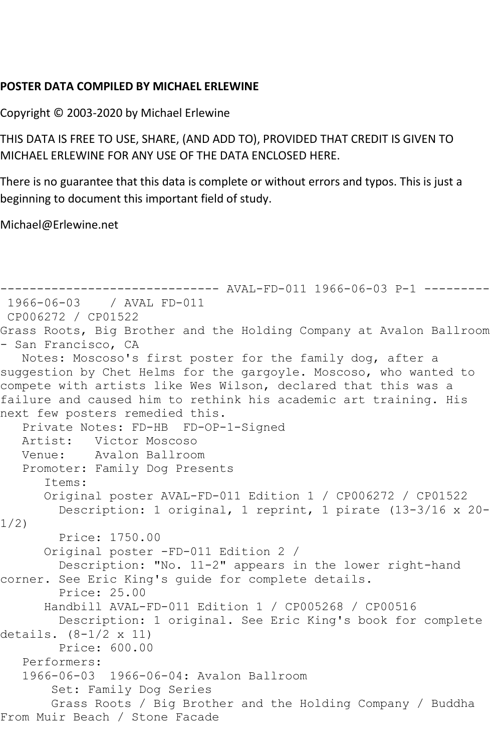## **POSTER DATA COMPILED BY MICHAEL ERLEWINE**

Copyright © 2003-2020 by Michael Erlewine

THIS DATA IS FREE TO USE, SHARE, (AND ADD TO), PROVIDED THAT CREDIT IS GIVEN TO MICHAEL ERLEWINE FOR ANY USE OF THE DATA ENCLOSED HERE.

There is no guarantee that this data is complete or without errors and typos. This is just a beginning to document this important field of study.

Michael@Erlewine.net

```
------------------------------ AVAL-FD-011 1966-06-03 P-1 ---------
1966-06-03 / AVAL FD-011
CP006272 / CP01522
Grass Roots, Big Brother and the Holding Company at Avalon Ballroom 
- San Francisco, CA
   Notes: Moscoso's first poster for the family dog, after a 
suggestion by Chet Helms for the gargoyle. Moscoso, who wanted to 
compete with artists like Wes Wilson, declared that this was a 
failure and caused him to rethink his academic art training. His 
next few posters remedied this.
   Private Notes: FD-HB FD-OP-1-Signed
   Artist: Victor Moscoso
   Venue: Avalon Ballroom
   Promoter: Family Dog Presents
       Items:
       Original poster AVAL-FD-011 Edition 1 / CP006272 / CP01522
         Description: 1 original, 1 reprint, 1 pirate (13-3/16 x 20-
1/2)
         Price: 1750.00
       Original poster -FD-011 Edition 2 / 
        Description: "No. 11-2" appears in the lower right-hand 
corner. See Eric King's guide for complete details.
         Price: 25.00
       Handbill AVAL-FD-011 Edition 1 / CP005268 / CP00516
        Description: 1 original. See Eric King's book for complete 
details. (8-1/2 x 11)
         Price: 600.00
   Performers:
   1966-06-03 1966-06-04: Avalon Ballroom
        Set: Family Dog Series
       Grass Roots / Big Brother and the Holding Company / Buddha 
From Muir Beach / Stone Facade
```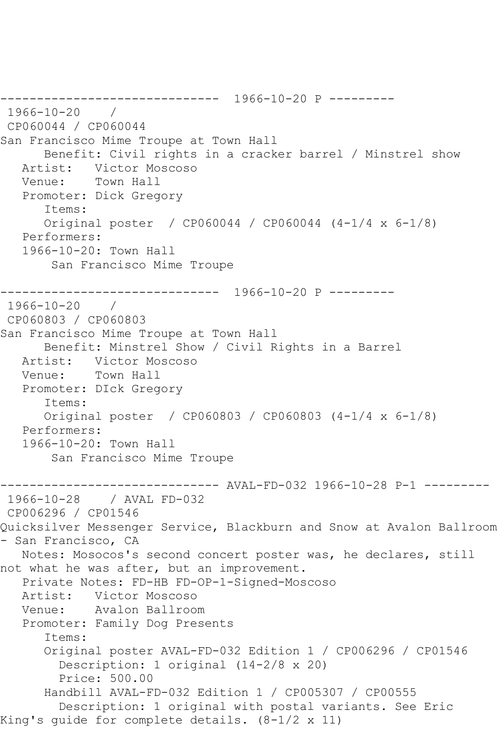------------------------------ 1966-10-20 P --------- 1966-10-20 / CP060044 / CP060044 San Francisco Mime Troupe at Town Hall Benefit: Civil rights in a cracker barrel / Minstrel show Artist: Victor Moscoso Venue: Town Hall Promoter: Dick Gregory Items: Original poster / CP060044 / CP060044 (4-1/4 x 6-1/8) Performers: 1966-10-20: Town Hall San Francisco Mime Troupe ------------------------------ 1966-10-20 P --------- 1966-10-20 / CP060803 / CP060803 San Francisco Mime Troupe at Town Hall Benefit: Minstrel Show / Civil Rights in a Barrel Artist: Victor Moscoso Venue: Town Hall Promoter: DIck Gregory Items: Original poster / CP060803 / CP060803 (4-1/4 x 6-1/8) Performers: 1966-10-20: Town Hall San Francisco Mime Troupe ------------------------------ AVAL-FD-032 1966-10-28 P-1 --------- 1966-10-28 / AVAL FD-032 CP006296 / CP01546 Quicksilver Messenger Service, Blackburn and Snow at Avalon Ballroom - San Francisco, CA Notes: Mosocos's second concert poster was, he declares, still not what he was after, but an improvement. Private Notes: FD-HB FD-OP-1-Signed-Moscoso Artist: Victor Moscoso Venue: Avalon Ballroom Promoter: Family Dog Presents Items: Original poster AVAL-FD-032 Edition 1 / CP006296 / CP01546 Description: 1 original (14-2/8 x 20) Price: 500.00 Handbill AVAL-FD-032 Edition 1 / CP005307 / CP00555 Description: 1 original with postal variants. See Eric King's guide for complete details. (8-1/2 x 11)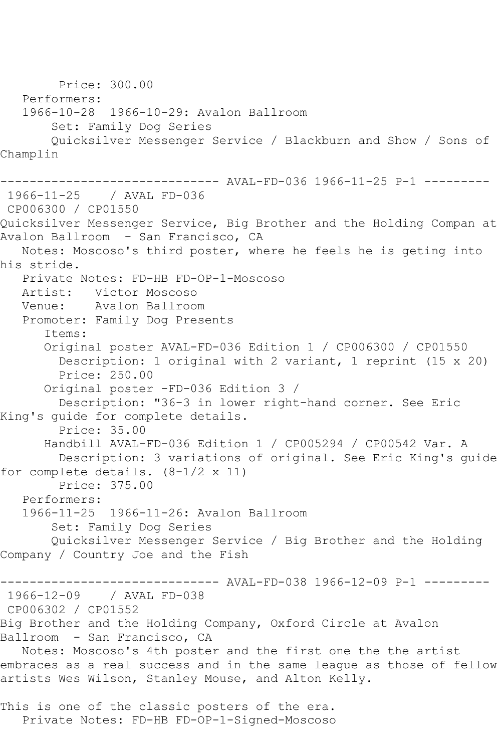Price: 300.00 Performers: 1966-10-28 1966-10-29: Avalon Ballroom Set: Family Dog Series Quicksilver Messenger Service / Blackburn and Show / Sons of Champlin ------------------------------ AVAL-FD-036 1966-11-25 P-1 --------- 1966-11-25 / AVAL FD-036 CP006300 / CP01550 Quicksilver Messenger Service, Big Brother and the Holding Compan at Avalon Ballroom - San Francisco, CA Notes: Moscoso's third poster, where he feels he is geting into his stride. Private Notes: FD-HB FD-OP-1-Moscoso Artist: Victor Moscoso Venue: Avalon Ballroom Promoter: Family Dog Presents Items: Original poster AVAL-FD-036 Edition 1 / CP006300 / CP01550 Description: 1 original with 2 variant, 1 reprint (15 x 20) Price: 250.00 Original poster -FD-036 Edition 3 / Description: "36-3 in lower right-hand corner. See Eric King's guide for complete details. Price: 35.00 Handbill AVAL-FD-036 Edition 1 / CP005294 / CP00542 Var. A Description: 3 variations of original. See Eric King's guide for complete details.  $(8-1/2 \times 11)$  Price: 375.00 Performers: 1966-11-25 1966-11-26: Avalon Ballroom Set: Family Dog Series Quicksilver Messenger Service / Big Brother and the Holding Company / Country Joe and the Fish ------------------------------ AVAL-FD-038 1966-12-09 P-1 --------- 1966-12-09 / AVAL FD-038 CP006302 / CP01552 Big Brother and the Holding Company, Oxford Circle at Avalon Ballroom - San Francisco, CA Notes: Moscoso's 4th poster and the first one the the artist embraces as a real success and in the same league as those of fellow artists Wes Wilson, Stanley Mouse, and Alton Kelly. This is one of the classic posters of the era. Private Notes: FD-HB FD-OP-1-Signed-Moscoso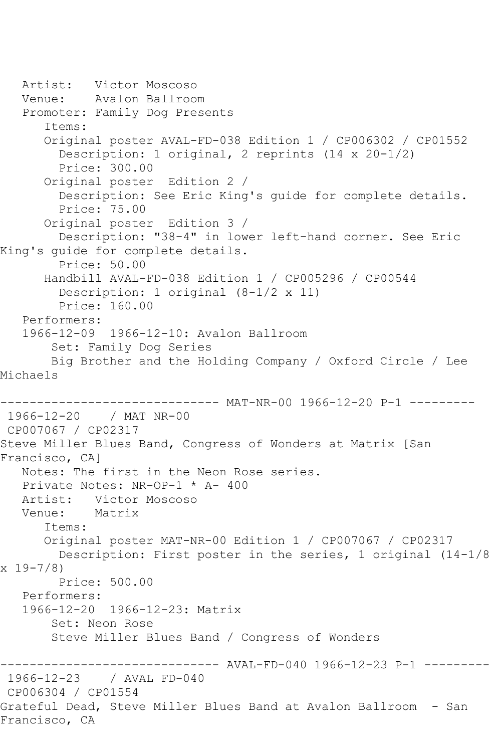```
 Artist: Victor Moscoso
   Venue: Avalon Ballroom
   Promoter: Family Dog Presents
       Items:
       Original poster AVAL-FD-038 Edition 1 / CP006302 / CP01552
         Description: 1 original, 2 reprints (14 x 20-1/2)
         Price: 300.00
       Original poster Edition 2 / 
         Description: See Eric King's guide for complete details.
         Price: 75.00
       Original poster Edition 3 / 
         Description: "38-4" in lower left-hand corner. See Eric 
King's guide for complete details.
        Price: 50.00
       Handbill AVAL-FD-038 Edition 1 / CP005296 / CP00544
         Description: 1 original (8-1/2 x 11)
         Price: 160.00
   Performers:
   1966-12-09 1966-12-10: Avalon Ballroom
        Set: Family Dog Series
        Big Brother and the Holding Company / Oxford Circle / Lee 
Michaels
------------------------------ MAT-NR-00 1966-12-20 P-1 ---------
1966-12-20 / MAT NR-00
CP007067 / CP02317
Steve Miller Blues Band, Congress of Wonders at Matrix [San 
Francisco, CA]
   Notes: The first in the Neon Rose series.
   Private Notes: NR-OP-1 * A- 400
  Artist: Victor Moscoso<br>Venue: Matrix
          Matrix
       Items:
       Original poster MAT-NR-00 Edition 1 / CP007067 / CP02317
         Description: First poster in the series, 1 original (14-1/8 
x 19-7/8)
         Price: 500.00
   Performers:
   1966-12-20 1966-12-23: Matrix
        Set: Neon Rose
        Steve Miller Blues Band / Congress of Wonders
------------------------------ AVAL-FD-040 1966-12-23 P-1 ---------
              / AVAL FD-040
CP006304 / CP01554
Grateful Dead, Steve Miller Blues Band at Avalon Ballroom - San 
Francisco, CA
```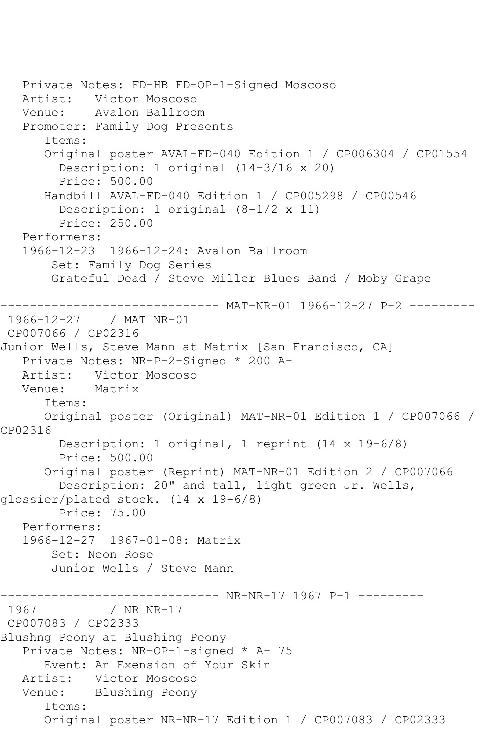```
 Private Notes: FD-HB FD-OP-1-Signed Moscoso
   Artist: Victor Moscoso
   Venue: Avalon Ballroom
   Promoter: Family Dog Presents
       Items:
       Original poster AVAL-FD-040 Edition 1 / CP006304 / CP01554
         Description: 1 original (14-3/16 x 20)
         Price: 500.00
      Handbill AVAL-FD-040 Edition 1 / CP005298 / CP00546
         Description: 1 original (8-1/2 x 11)
         Price: 250.00
   Performers:
   1966-12-23 1966-12-24: Avalon Ballroom
        Set: Family Dog Series
        Grateful Dead / Steve Miller Blues Band / Moby Grape
------------------------------ MAT-NR-01 1966-12-27 P-2 ---------
1966-12-27 / MAT NR-01
CP007066 / CP02316
Junior Wells, Steve Mann at Matrix [San Francisco, CA]
   Private Notes: NR-P-2-Signed * 200 A-
   Artist: Victor Moscoso
   Venue: Matrix
       Items:
      Original poster (Original) MAT-NR-01 Edition 1 / CP007066 / 
CP02316
         Description: 1 original, 1 reprint (14 x 19-6/8)
         Price: 500.00
       Original poster (Reprint) MAT-NR-01 Edition 2 / CP007066
         Description: 20" and tall, light green Jr. Wells, 
glossier/plated stock. (14 x 19-6/8)
         Price: 75.00
   Performers:
   1966-12-27 1967-01-08: Matrix
        Set: Neon Rose
        Junior Wells / Steve Mann
------------------------------ NR-NR-17 1967 P-1 ---------
              / NR NR-17
CP007083 / CP02333
Blushng Peony at Blushing Peony
   Private Notes: NR-OP-1-signed * A- 75
      Event: An Exension of Your Skin
   Artist: Victor Moscoso
   Venue: Blushing Peony
       Items:
       Original poster NR-NR-17 Edition 1 / CP007083 / CP02333
```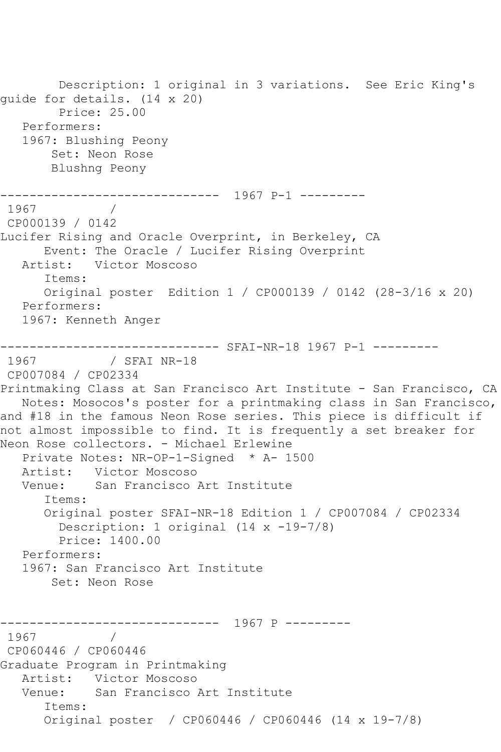```
 Description: 1 original in 3 variations. See Eric King's 
guide for details. (14 x 20)
        Price: 25.00
   Performers:
   1967: Blushing Peony
        Set: Neon Rose
        Blushng Peony
               ------------------------------ 1967 P-1 ---------
1967 / 
CP000139 / 0142
Lucifer Rising and Oracle Overprint, in Berkeley, CA
      Event: The Oracle / Lucifer Rising Overprint
   Artist: Victor Moscoso
       Items:
       Original poster Edition 1 / CP000139 / 0142 (28-3/16 x 20)
   Performers:
   1967: Kenneth Anger
------------------------------ SFAI-NR-18 1967 P-1 ---------
1967 / SFAI NR-18
CP007084 / CP02334
Printmaking Class at San Francisco Art Institute - San Francisco, CA
   Notes: Mosocos's poster for a printmaking class in San Francisco, 
and #18 in the famous Neon Rose series. This piece is difficult if 
not almost impossible to find. It is frequently a set breaker for 
Neon Rose collectors. - Michael Erlewine
   Private Notes: NR-OP-1-Signed * A- 1500
  Artist: Victor Moscoso<br>Venue: San Francisco l
           San Francisco Art Institute
       Items:
       Original poster SFAI-NR-18 Edition 1 / CP007084 / CP02334
         Description: 1 original (14 x -19-7/8)
         Price: 1400.00
   Performers:
   1967: San Francisco Art Institute
        Set: Neon Rose
------------------------------ 1967 P ---------
1967 / 
CP060446 / CP060446
Graduate Program in Printmaking
   Artist: Victor Moscoso
   Venue: San Francisco Art Institute
       Items:
       Original poster / CP060446 / CP060446 (14 x 19-7/8)
```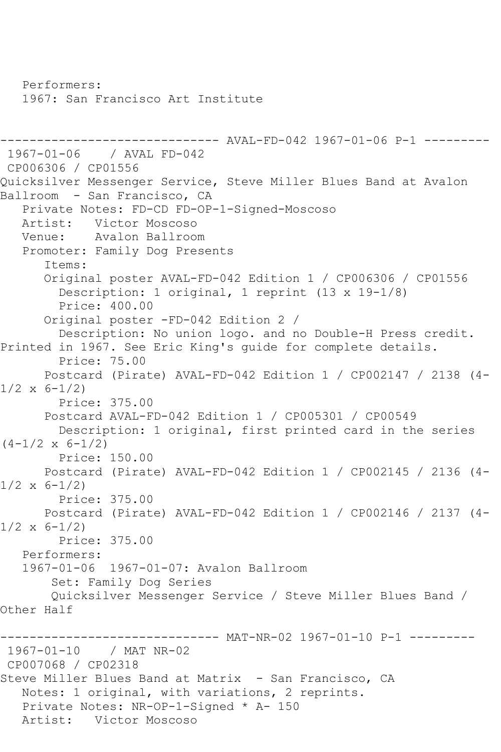Performers: 1967: San Francisco Art Institute ------------------------------ AVAL-FD-042 1967-01-06 P-1 --------- 1967-01-06 / AVAL FD-042 CP006306 / CP01556 Quicksilver Messenger Service, Steve Miller Blues Band at Avalon Ballroom - San Francisco, CA Private Notes: FD-CD FD-OP-1-Signed-Moscoso Artist: Victor Moscoso<br>Venue: Avalon Ballroo Avalon Ballroom Promoter: Family Dog Presents Items: Original poster AVAL-FD-042 Edition 1 / CP006306 / CP01556 Description: 1 original, 1 reprint (13 x 19-1/8) Price: 400.00 Original poster -FD-042 Edition 2 / Description: No union logo. and no Double-H Press credit. Printed in 1967. See Eric King's guide for complete details. Price: 75.00 Postcard (Pirate) AVAL-FD-042 Edition 1 / CP002147 / 2138 (4-  $1/2 \times 6 - 1/2$  Price: 375.00 Postcard AVAL-FD-042 Edition 1 / CP005301 / CP00549 Description: 1 original, first printed card in the series  $(4-1/2 \times 6-1/2)$  Price: 150.00 Postcard (Pirate) AVAL-FD-042 Edition 1 / CP002145 / 2136 (4-  $1/2 \times 6 - 1/2$  Price: 375.00 Postcard (Pirate) AVAL-FD-042 Edition 1 / CP002146 / 2137 (4-  $1/2 \times 6 - 1/2$  Price: 375.00 Performers: 1967-01-06 1967-01-07: Avalon Ballroom Set: Family Dog Series Quicksilver Messenger Service / Steve Miller Blues Band / Other Half ------- MAT-NR-02 1967-01-10 P-1 ---------1967-01-10 / MAT NR-02 CP007068 / CP02318 Steve Miller Blues Band at Matrix - San Francisco, CA Notes: 1 original, with variations, 2 reprints. Private Notes: NR-OP-1-Signed \* A- 150 Artist: Victor Moscoso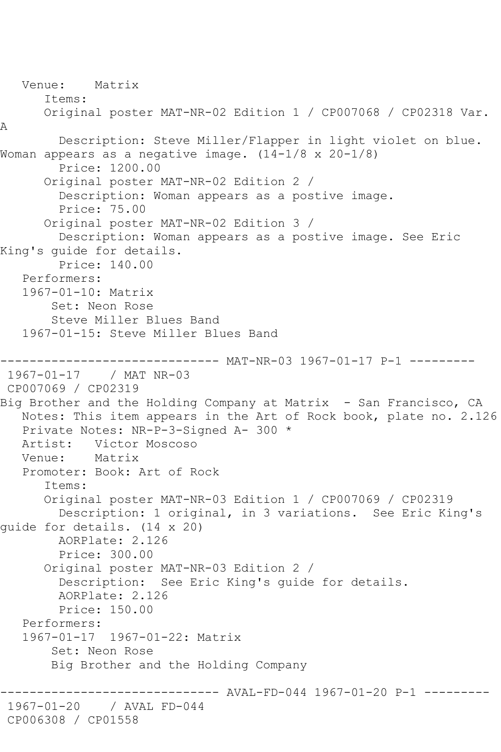Venue: Matrix Items: Original poster MAT-NR-02 Edition 1 / CP007068 / CP02318 Var. A Description: Steve Miller/Flapper in light violet on blue. Woman appears as a negative image.  $(14-1/8 \times 20-1/8)$  Price: 1200.00 Original poster MAT-NR-02 Edition 2 / Description: Woman appears as a postive image. Price: 75.00 Original poster MAT-NR-02 Edition 3 / Description: Woman appears as a postive image. See Eric King's guide for details. Price: 140.00 Performers: 1967-01-10: Matrix Set: Neon Rose Steve Miller Blues Band 1967-01-15: Steve Miller Blues Band ------------------------------ MAT-NR-03 1967-01-17 P-1 --------- 1967-01-17 / MAT NR-03 CP007069 / CP02319 Big Brother and the Holding Company at Matrix - San Francisco, CA Notes: This item appears in the Art of Rock book, plate no. 2.126 Private Notes: NR-P-3-Signed A- 300 \* Artist: Victor Moscoso<br>Venue: Matrix Venue: Promoter: Book: Art of Rock Items: Original poster MAT-NR-03 Edition 1 / CP007069 / CP02319 Description: 1 original, in 3 variations. See Eric King's guide for details. (14 x 20) AORPlate: 2.126 Price: 300.00 Original poster MAT-NR-03 Edition 2 / Description: See Eric King's guide for details. AORPlate: 2.126 Price: 150.00 Performers: 1967-01-17 1967-01-22: Matrix Set: Neon Rose Big Brother and the Holding Company ------------------------------ AVAL-FD-044 1967-01-20 P-1 --------- 1967-01-20 / AVAL FD-044 CP006308 / CP01558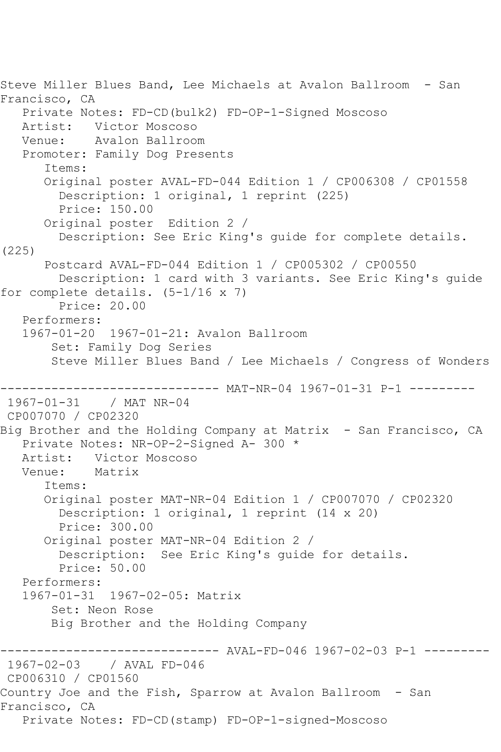```
Steve Miller Blues Band, Lee Michaels at Avalon Ballroom - San 
Francisco, CA
    Private Notes: FD-CD(bulk2) FD-OP-1-Signed Moscoso
  Artist: Victor Moscoso<br>Venue: Avalon Ballroo
            Avalon Ballroom
    Promoter: Family Dog Presents
       Items:
       Original poster AVAL-FD-044 Edition 1 / CP006308 / CP01558
         Description: 1 original, 1 reprint (225)
         Price: 150.00
       Original poster Edition 2 / 
         Description: See Eric King's guide for complete details. 
(225)
       Postcard AVAL-FD-044 Edition 1 / CP005302 / CP00550
         Description: 1 card with 3 variants. See Eric King's guide 
for complete details. (5-1/16 \times 7) Price: 20.00
    Performers:
    1967-01-20 1967-01-21: Avalon Ballroom
        Set: Family Dog Series
        Steve Miller Blues Band / Lee Michaels / Congress of Wonders
------------------------------ MAT-NR-04 1967-01-31 P-1 ---------
1967-01-31 / MAT NR-04
CP007070 / CP02320
Big Brother and the Holding Company at Matrix - San Francisco, CA
    Private Notes: NR-OP-2-Signed A- 300 *
  Artist: Victor Moscoso<br>Venue: Matrix
   Venue:
       Items:
       Original poster MAT-NR-04 Edition 1 / CP007070 / CP02320
         Description: 1 original, 1 reprint (14 x 20)
         Price: 300.00
       Original poster MAT-NR-04 Edition 2 / 
         Description: See Eric King's guide for details.
         Price: 50.00
    Performers:
    1967-01-31 1967-02-05: Matrix
        Set: Neon Rose
        Big Brother and the Holding Company
------------------------------ AVAL-FD-046 1967-02-03 P-1 ---------
1967-02-03 / AVAL FD-046
CP006310 / CP01560
Country Joe and the Fish, Sparrow at Avalon Ballroom - San 
Francisco, CA
   Private Notes: FD-CD(stamp) FD-OP-1-signed-Moscoso
```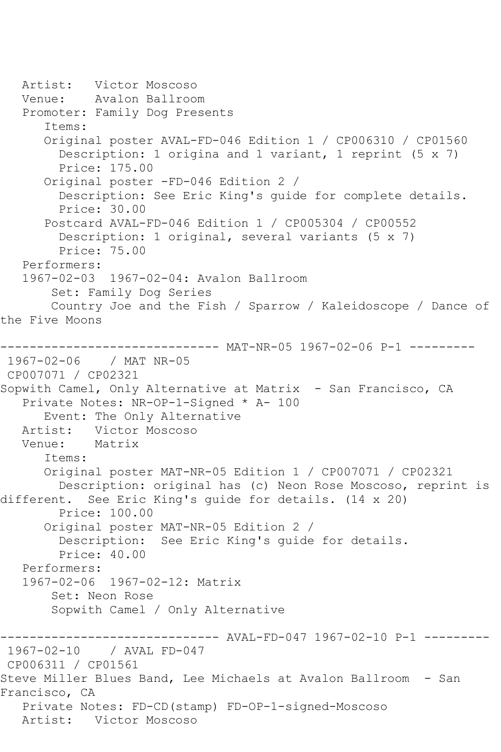Artist: Victor Moscoso Venue: Avalon Ballroom Promoter: Family Dog Presents Items: Original poster AVAL-FD-046 Edition 1 / CP006310 / CP01560 Description: 1 origina and 1 variant, 1 reprint (5 x 7) Price: 175.00 Original poster -FD-046 Edition 2 / Description: See Eric King's guide for complete details. Price: 30.00 Postcard AVAL-FD-046 Edition 1 / CP005304 / CP00552 Description: 1 original, several variants (5 x 7) Price: 75.00 Performers: 1967-02-03 1967-02-04: Avalon Ballroom Set: Family Dog Series Country Joe and the Fish / Sparrow / Kaleidoscope / Dance of the Five Moons ------------------------------ MAT-NR-05 1967-02-06 P-1 --------- 1967-02-06 / MAT NR-05 CP007071 / CP02321 Sopwith Camel, Only Alternative at Matrix - San Francisco, CA Private Notes: NR-OP-1-Signed \* A- 100 Event: The Only Alternative Artist: Victor Moscoso<br>Venue: Matrix Matrix Items: Original poster MAT-NR-05 Edition 1 / CP007071 / CP02321 Description: original has (c) Neon Rose Moscoso, reprint is different. See Eric King's guide for details. (14 x 20) Price: 100.00 Original poster MAT-NR-05 Edition 2 / Description: See Eric King's guide for details. Price: 40.00 Performers: 1967-02-06 1967-02-12: Matrix Set: Neon Rose Sopwith Camel / Only Alternative ----- AVAL-FD-047 1967-02-10 P-1 ---------1967-02-10 / AVAL FD-047 CP006311 / CP01561 Steve Miller Blues Band, Lee Michaels at Avalon Ballroom - San Francisco, CA Private Notes: FD-CD(stamp) FD-OP-1-signed-Moscoso Artist: Victor Moscoso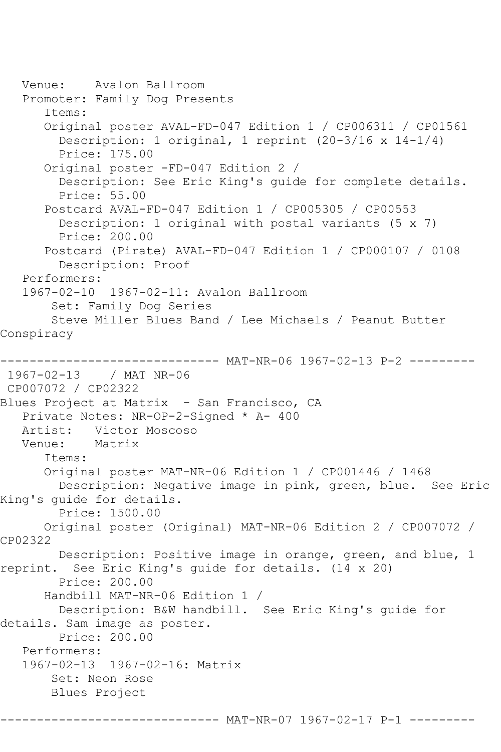Venue: Avalon Ballroom Promoter: Family Dog Presents Items: Original poster AVAL-FD-047 Edition 1 / CP006311 / CP01561 Description: 1 original, 1 reprint (20-3/16 x 14-1/4) Price: 175.00 Original poster -FD-047 Edition 2 / Description: See Eric King's guide for complete details. Price: 55.00 Postcard AVAL-FD-047 Edition 1 / CP005305 / CP00553 Description: 1 original with postal variants (5 x 7) Price: 200.00 Postcard (Pirate) AVAL-FD-047 Edition 1 / CP000107 / 0108 Description: Proof Performers: 1967-02-10 1967-02-11: Avalon Ballroom Set: Family Dog Series Steve Miller Blues Band / Lee Michaels / Peanut Butter Conspiracy ------------------------------ MAT-NR-06 1967-02-13 P-2 --------- 1967-02-13 / MAT NR-06 CP007072 / CP02322 Blues Project at Matrix - San Francisco, CA Private Notes: NR-OP-2-Signed \* A- 400 Artist: Victor Moscoso<br>Venue: Matrix Matrix Items: Original poster MAT-NR-06 Edition 1 / CP001446 / 1468 Description: Negative image in pink, green, blue. See Eric King's guide for details. Price: 1500.00 Original poster (Original) MAT-NR-06 Edition 2 / CP007072 / CP02322 Description: Positive image in orange, green, and blue, 1 reprint. See Eric King's guide for details. (14 x 20) Price: 200.00 Handbill MAT-NR-06 Edition 1 / Description: B&W handbill. See Eric King's guide for details. Sam image as poster. Price: 200.00 Performers: 1967-02-13 1967-02-16: Matrix Set: Neon Rose Blues Project ------------ MAT-NR-07 1967-02-17 P-1 --------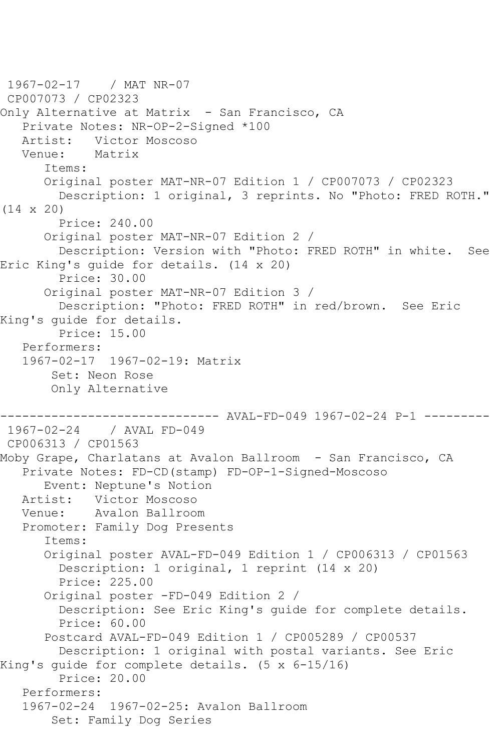```
1967-02-17 / MAT NR-07
CP007073 / CP02323
Only Alternative at Matrix - San Francisco, CA
   Private Notes: NR-OP-2-Signed *100
   Artist: Victor Moscoso
   Venue: Matrix
       Items:
       Original poster MAT-NR-07 Edition 1 / CP007073 / CP02323
         Description: 1 original, 3 reprints. No "Photo: FRED ROTH." 
(14 x 20)
         Price: 240.00
       Original poster MAT-NR-07 Edition 2 / 
         Description: Version with "Photo: FRED ROTH" in white. See 
Eric King's guide for details. (14 x 20)
         Price: 30.00
       Original poster MAT-NR-07 Edition 3 / 
         Description: "Photo: FRED ROTH" in red/brown. See Eric 
King's guide for details.
         Price: 15.00
   Performers:
   1967-02-17 1967-02-19: Matrix
        Set: Neon Rose
        Only Alternative
                   ------------------------------ AVAL-FD-049 1967-02-24 P-1 ---------
1967-02-24 / AVAL FD-049
CP006313 / CP01563
Moby Grape, Charlatans at Avalon Ballroom - San Francisco, CA
   Private Notes: FD-CD(stamp) FD-OP-1-Signed-Moscoso
       Event: Neptune's Notion
   Artist: Victor Moscoso
   Venue: Avalon Ballroom
   Promoter: Family Dog Presents
       Items:
       Original poster AVAL-FD-049 Edition 1 / CP006313 / CP01563
         Description: 1 original, 1 reprint (14 x 20)
         Price: 225.00
       Original poster -FD-049 Edition 2 / 
         Description: See Eric King's guide for complete details.
         Price: 60.00
       Postcard AVAL-FD-049 Edition 1 / CP005289 / CP00537
         Description: 1 original with postal variants. See Eric 
King's guide for complete details. (5 x 6-15/16)
         Price: 20.00
   Performers:
   1967-02-24 1967-02-25: Avalon Ballroom
        Set: Family Dog Series
```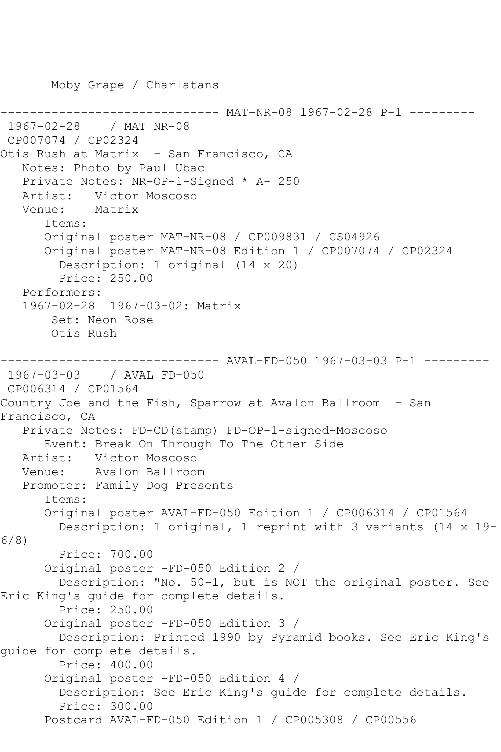------ MAT-NR-08 1967-02-28 P-1 ---------1967-02-28 / MAT NR-08 CP007074 / CP02324 Otis Rush at Matrix - San Francisco, CA Notes: Photo by Paul Ubac Private Notes: NR-OP-1-Signed \* A- 250 Victor Moscoso Venue: Matrix Items: Original poster MAT-NR-08 / CP009831 / CS04926 Original poster MAT-NR-08 Edition 1 / CP007074 / CP02324 Description: 1 original (14 x 20) Price: 250.00 Performers: 1967-02-28 1967-03-02: Matrix Set: Neon Rose Otis Rush ------------------------------ AVAL-FD-050 1967-03-03 P-1 --------- 1967-03-03 / AVAL FD-050 CP006314 / CP01564 Country Joe and the Fish, Sparrow at Avalon Ballroom - San Francisco, CA Private Notes: FD-CD(stamp) FD-OP-1-signed-Moscoso Event: Break On Through To The Other Side Artist: Victor Moscoso Venue: Avalon Ballroom Promoter: Family Dog Presents Items: Original poster AVAL-FD-050 Edition 1 / CP006314 / CP01564 Description: 1 original, 1 reprint with 3 variants (14 x 19- 6/8) Price: 700.00 Original poster -FD-050 Edition 2 / Description: "No. 50-1, but is NOT the original poster. See Eric King's guide for complete details. Price: 250.00 Original poster -FD-050 Edition 3 / Description: Printed 1990 by Pyramid books. See Eric King's guide for complete details. Price: 400.00 Original poster -FD-050 Edition 4 / Description: See Eric King's guide for complete details. Price: 300.00 Postcard AVAL-FD-050 Edition 1 / CP005308 / CP00556

Moby Grape / Charlatans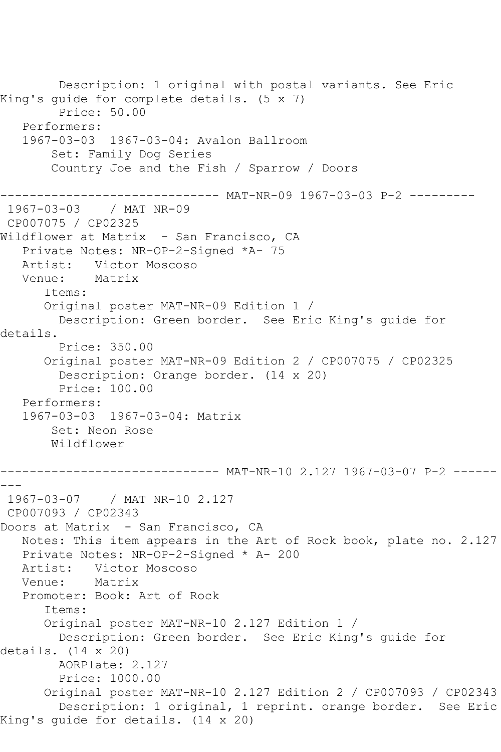Description: 1 original with postal variants. See Eric King's guide for complete details. (5 x 7) Price: 50.00 Performers: 1967-03-03 1967-03-04: Avalon Ballroom Set: Family Dog Series Country Joe and the Fish / Sparrow / Doors ------------- MAT-NR-09 1967-03-03 P-2 ---------1967-03-03 / MAT NR-09 CP007075 / CP02325 Wildflower at Matrix - San Francisco, CA Private Notes: NR-OP-2-Signed \*A- 75 Artist: Victor Moscoso<br>Venue: Matrix Venue: Items: Original poster MAT-NR-09 Edition 1 / Description: Green border. See Eric King's guide for details. Price: 350.00 Original poster MAT-NR-09 Edition 2 / CP007075 / CP02325 Description: Orange border. (14 x 20) Price: 100.00 Performers: 1967-03-03 1967-03-04: Matrix Set: Neon Rose Wildflower ------------------------------ MAT-NR-10 2.127 1967-03-07 P-2 ------  $---$ 1967-03-07 / MAT NR-10 2.127 CP007093 / CP02343 Doors at Matrix - San Francisco, CA Notes: This item appears in the Art of Rock book, plate no. 2.127 Private Notes: NR-OP-2-Signed \* A- 200 Artist: Victor Moscoso<br>Venue: Matrix Venue: Promoter: Book: Art of Rock Items: Original poster MAT-NR-10 2.127 Edition 1 / Description: Green border. See Eric King's guide for details. (14 x 20) AORPlate: 2.127 Price: 1000.00 Original poster MAT-NR-10 2.127 Edition 2 / CP007093 / CP02343 Description: 1 original, 1 reprint. orange border. See Eric King's guide for details. (14 x 20)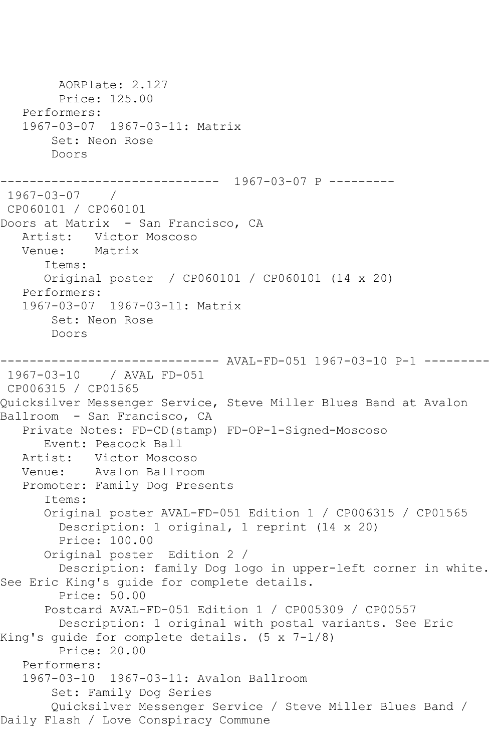AORPlate: 2.127 Price: 125.00 Performers: 1967-03-07 1967-03-11: Matrix Set: Neon Rose Doors ------------------------------ 1967-03-07 P --------- 1967-03-07 / CP060101 / CP060101 Doors at Matrix - San Francisco, CA Artist: Victor Moscoso<br>Venue: Matrix Venue: Items: Original poster / CP060101 / CP060101 (14 x 20) Performers: 1967-03-07 1967-03-11: Matrix Set: Neon Rose Doors ------------------------------ AVAL-FD-051 1967-03-10 P-1 --------- 1967-03-10 / AVAL FD-051 CP006315 / CP01565 Quicksilver Messenger Service, Steve Miller Blues Band at Avalon Ballroom - San Francisco, CA Private Notes: FD-CD(stamp) FD-OP-1-Signed-Moscoso Event: Peacock Ball Artist: Victor Moscoso Venue: Avalon Ballroom Promoter: Family Dog Presents Items: Original poster AVAL-FD-051 Edition 1 / CP006315 / CP01565 Description: 1 original, 1 reprint (14 x 20) Price: 100.00 Original poster Edition 2 / Description: family Dog logo in upper-left corner in white. See Eric King's guide for complete details. Price: 50.00 Postcard AVAL-FD-051 Edition 1 / CP005309 / CP00557 Description: 1 original with postal variants. See Eric King's guide for complete details. (5 x 7-1/8) Price: 20.00 Performers: 1967-03-10 1967-03-11: Avalon Ballroom Set: Family Dog Series Quicksilver Messenger Service / Steve Miller Blues Band / Daily Flash / Love Conspiracy Commune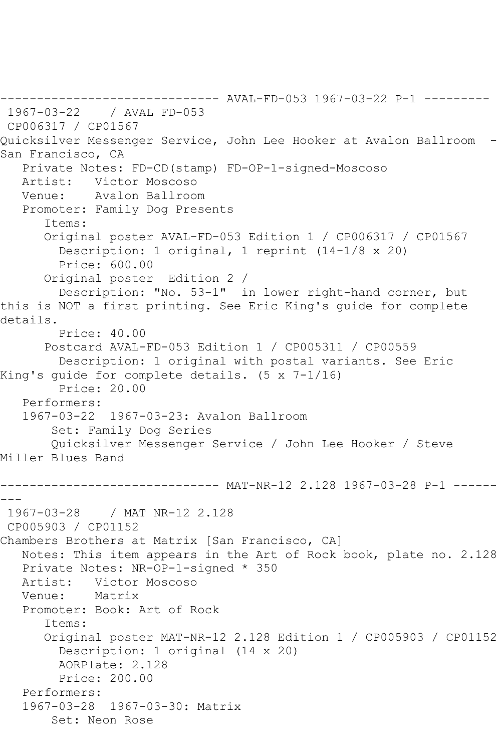------------------------------ AVAL-FD-053 1967-03-22 P-1 --------- 1967-03-22 / AVAL FD-053 CP006317 / CP01567 Quicksilver Messenger Service, John Lee Hooker at Avalon Ballroom - San Francisco, CA Private Notes: FD-CD(stamp) FD-OP-1-signed-Moscoso Artist: Victor Moscoso Venue: Avalon Ballroom Promoter: Family Dog Presents Items: Original poster AVAL-FD-053 Edition 1 / CP006317 / CP01567 Description: 1 original, 1 reprint (14-1/8 x 20) Price: 600.00 Original poster Edition 2 / Description: "No. 53-1" in lower right-hand corner, but this is NOT a first printing. See Eric King's guide for complete details. Price: 40.00 Postcard AVAL-FD-053 Edition 1 / CP005311 / CP00559 Description: 1 original with postal variants. See Eric King's guide for complete details. (5 x 7-1/16) Price: 20.00 Performers: 1967-03-22 1967-03-23: Avalon Ballroom Set: Family Dog Series Quicksilver Messenger Service / John Lee Hooker / Steve Miller Blues Band ------------------------------ MAT-NR-12 2.128 1967-03-28 P-1 ------ --- 1967-03-28 / MAT NR-12 2.128 CP005903 / CP01152 Chambers Brothers at Matrix [San Francisco, CA] Notes: This item appears in the Art of Rock book, plate no. 2.128 Private Notes: NR-OP-1-signed \* 350 Artist: Victor Moscoso Venue: Matrix Promoter: Book: Art of Rock Items: Original poster MAT-NR-12 2.128 Edition 1 / CP005903 / CP01152 Description: 1 original (14 x 20) AORPlate: 2.128 Price: 200.00 Performers: 1967-03-28 1967-03-30: Matrix Set: Neon Rose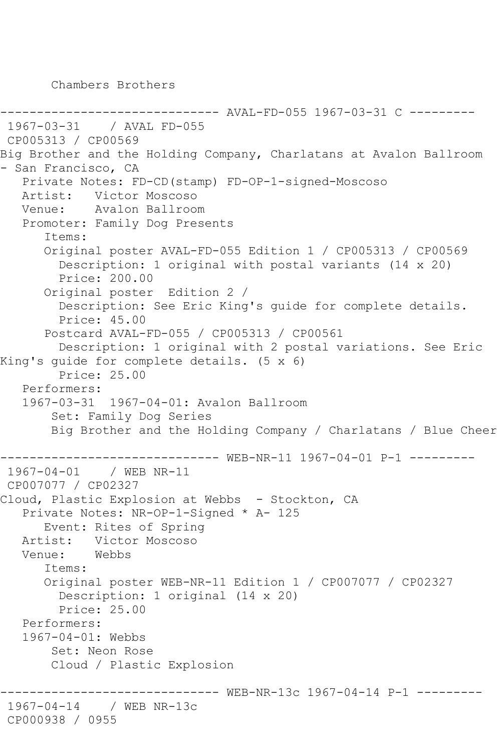Chambers Brothers

------------------------------ AVAL-FD-055 1967-03-31 C --------- 1967-03-31 / AVAL FD-055 CP005313 / CP00569 Big Brother and the Holding Company, Charlatans at Avalon Ballroom - San Francisco, CA Private Notes: FD-CD(stamp) FD-OP-1-signed-Moscoso Artist: Victor Moscoso Venue: Avalon Ballroom Promoter: Family Dog Presents Items: Original poster AVAL-FD-055 Edition 1 / CP005313 / CP00569 Description: 1 original with postal variants (14 x 20) Price: 200.00 Original poster Edition 2 / Description: See Eric King's guide for complete details. Price: 45.00 Postcard AVAL-FD-055 / CP005313 / CP00561 Description: 1 original with 2 postal variations. See Eric King's guide for complete details. (5 x 6) Price: 25.00 Performers: 1967-03-31 1967-04-01: Avalon Ballroom Set: Family Dog Series Big Brother and the Holding Company / Charlatans / Blue Cheer ------------------------------ WEB-NR-11 1967-04-01 P-1 --------- 1967-04-01 / WEB NR-11 CP007077 / CP02327 Cloud, Plastic Explosion at Webbs - Stockton, CA Private Notes: NR-OP-1-Signed \* A- 125 Event: Rites of Spring Artist: Victor Moscoso Venue: Webbs Items: Original poster WEB-NR-11 Edition 1 / CP007077 / CP02327 Description: 1 original (14 x 20) Price: 25.00 Performers: 1967-04-01: Webbs Set: Neon Rose Cloud / Plastic Explosion ------ WEB-NR-13c 1967-04-14 P-1 ---------1967-04-14 / WEB NR-13c CP000938 / 0955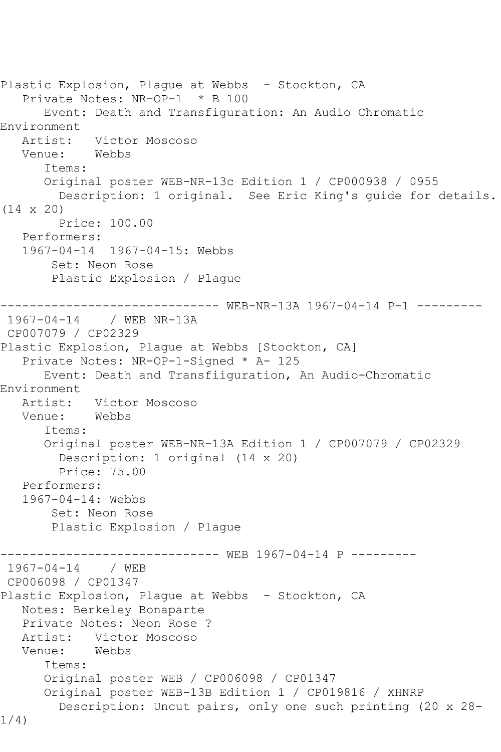```
Plastic Explosion, Plague at Webbs - Stockton, CA
    Private Notes: NR-OP-1 * B 100
       Event: Death and Transfiguration: An Audio Chromatic 
Environment<br>Artist:
             Artist: Victor Moscoso
   Venue: Webbs
       Items:
       Original poster WEB-NR-13c Edition 1 / CP000938 / 0955
         Description: 1 original. See Eric King's guide for details. 
(14 x 20)
         Price: 100.00
    Performers:
    1967-04-14 1967-04-15: Webbs
        Set: Neon Rose
        Plastic Explosion / Plague
------------------------------ WEB-NR-13A 1967-04-14 P-1 ---------
1967-04-14 / WEB NR-13A
CP007079 / CP02329
Plastic Explosion, Plague at Webbs [Stockton, CA]
    Private Notes: NR-OP-1-Signed * A- 125
       Event: Death and Transfiiguration, An Audio-Chromatic 
Environment<br>:Artist
            Victor Moscoso<br>Webbs
  Venue:
       Items:
       Original poster WEB-NR-13A Edition 1 / CP007079 / CP02329
         Description: 1 original (14 x 20)
         Price: 75.00
    Performers:
    1967-04-14: Webbs
        Set: Neon Rose
        Plastic Explosion / Plague
               ------------------------------ WEB 1967-04-14 P ---------
1967 - 04 - 14CP006098 / CP01347
Plastic Explosion, Plague at Webbs - Stockton, CA
   Notes: Berkeley Bonaparte
    Private Notes: Neon Rose ?
  Artist: Victor Moscoso<br>Venue: Webbs
  Venue:
       Items:
       Original poster WEB / CP006098 / CP01347
       Original poster WEB-13B Edition 1 / CP019816 / XHNRP
         Description: Uncut pairs, only one such printing (20 x 28-
1/4)
```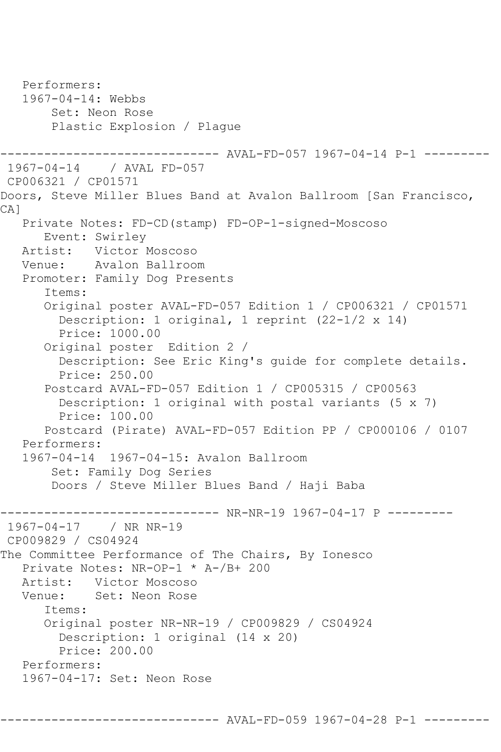```
 Performers:
   1967-04-14: Webbs
        Set: Neon Rose
        Plastic Explosion / Plague
                       ------- AVAL-FD-057 1967-04-14 P-1 ---------
1967-04-14 / AVAL FD-057
CP006321 / CP01571
Doors, Steve Miller Blues Band at Avalon Ballroom [San Francisco, 
CA<sub>1</sub>
   Private Notes: FD-CD(stamp) FD-OP-1-signed-Moscoso
      Event: Swirley
   Artist: Victor Moscoso
   Venue: Avalon Ballroom
   Promoter: Family Dog Presents
       Items:
       Original poster AVAL-FD-057 Edition 1 / CP006321 / CP01571
         Description: 1 original, 1 reprint (22-1/2 x 14)
         Price: 1000.00
       Original poster Edition 2 / 
         Description: See Eric King's guide for complete details.
         Price: 250.00
       Postcard AVAL-FD-057 Edition 1 / CP005315 / CP00563
         Description: 1 original with postal variants (5 x 7)
         Price: 100.00
       Postcard (Pirate) AVAL-FD-057 Edition PP / CP000106 / 0107
   Performers:
   1967-04-14 1967-04-15: Avalon Ballroom
        Set: Family Dog Series
        Doors / Steve Miller Blues Band / Haji Baba
                 -------------- NR-NR-19 1967-04-17 P ---------
1967-04-17 / NR NR-19
CP009829 / CS04924
The Committee Performance of The Chairs, By Ionesco
   Private Notes: NR-OP-1 * A-/B+ 200
   Artist: Victor Moscoso
   Venue: Set: Neon Rose
       Items:
       Original poster NR-NR-19 / CP009829 / CS04924
         Description: 1 original (14 x 20)
         Price: 200.00
   Performers:
   1967-04-17: Set: Neon Rose
```
------------------------------ AVAL-FD-059 1967-04-28 P-1 ---------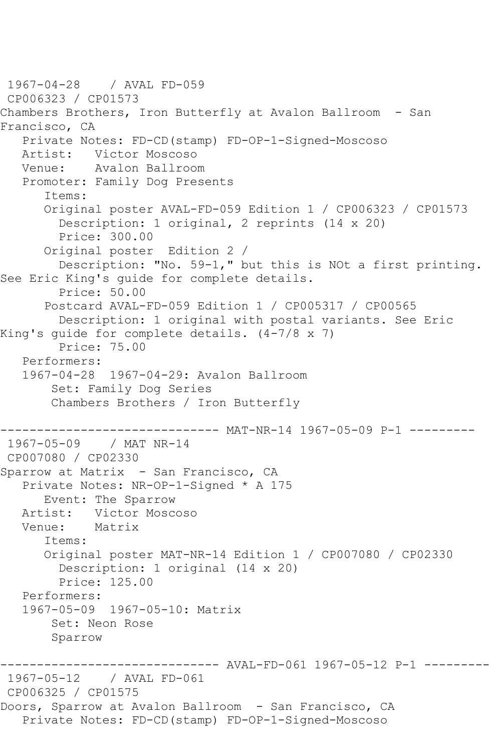1967-04-28 / AVAL FD-059 CP006323 / CP01573 Chambers Brothers, Iron Butterfly at Avalon Ballroom - San Francisco, CA Private Notes: FD-CD(stamp) FD-OP-1-Signed-Moscoso Victor Moscoso Venue: Avalon Ballroom Promoter: Family Dog Presents Items: Original poster AVAL-FD-059 Edition 1 / CP006323 / CP01573 Description: 1 original, 2 reprints (14 x 20) Price: 300.00 Original poster Edition 2 / Description: "No. 59-1," but this is NOt a first printing. See Eric King's guide for complete details. Price: 50.00 Postcard AVAL-FD-059 Edition 1 / CP005317 / CP00565 Description: 1 original with postal variants. See Eric King's guide for complete details. (4-7/8 x 7) Price: 75.00 Performers: 1967-04-28 1967-04-29: Avalon Ballroom Set: Family Dog Series Chambers Brothers / Iron Butterfly ------------------------------ MAT-NR-14 1967-05-09 P-1 --------- 1967-05-09 / MAT NR-14 CP007080 / CP02330 Sparrow at Matrix - San Francisco, CA Private Notes: NR-OP-1-Signed \* A 175 Event: The Sparrow Artist: Victor Moscoso Venue: Matrix Items: Original poster MAT-NR-14 Edition 1 / CP007080 / CP02330 Description: 1 original (14 x 20) Price: 125.00 Performers: 1967-05-09 1967-05-10: Matrix Set: Neon Rose Sparrow ------------------------------ AVAL-FD-061 1967-05-12 P-1 --------- 1967-05-12 / AVAL FD-061 CP006325 / CP01575 Doors, Sparrow at Avalon Ballroom - San Francisco, CA Private Notes: FD-CD(stamp) FD-OP-1-Signed-Moscoso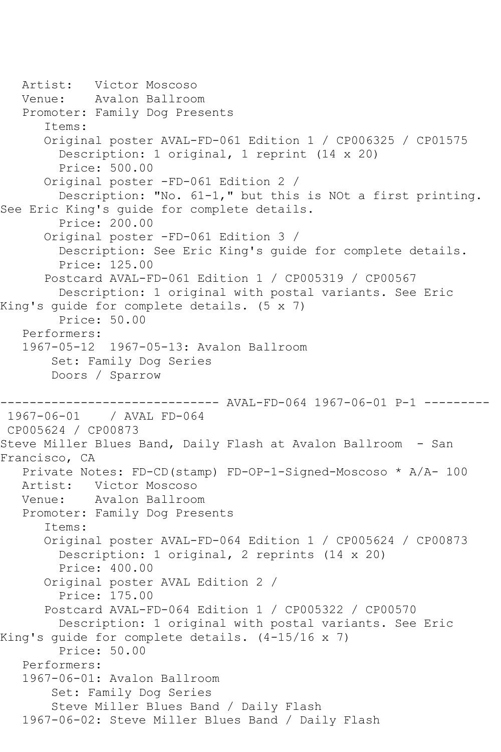```
 Artist: Victor Moscoso
   Venue: Avalon Ballroom
   Promoter: Family Dog Presents
       Items:
       Original poster AVAL-FD-061 Edition 1 / CP006325 / CP01575
         Description: 1 original, 1 reprint (14 x 20)
         Price: 500.00
       Original poster -FD-061 Edition 2 / 
         Description: "No. 61-1," but this is NOt a first printing. 
See Eric King's guide for complete details.
         Price: 200.00
       Original poster -FD-061 Edition 3 / 
         Description: See Eric King's guide for complete details.
         Price: 125.00
       Postcard AVAL-FD-061 Edition 1 / CP005319 / CP00567
         Description: 1 original with postal variants. See Eric 
King's guide for complete details. (5 x 7)
         Price: 50.00
   Performers:
   1967-05-12 1967-05-13: Avalon Ballroom
        Set: Family Dog Series
        Doors / Sparrow
------------------------------ AVAL-FD-064 1967-06-01 P-1 ---------
1967-06-01 / AVAL FD-064
CP005624 / CP00873
Steve Miller Blues Band, Daily Flash at Avalon Ballroom - San 
Francisco, CA
   Private Notes: FD-CD(stamp) FD-OP-1-Signed-Moscoso * A/A- 100
           Victor Moscoso
   Venue: Avalon Ballroom
   Promoter: Family Dog Presents
       Items:
       Original poster AVAL-FD-064 Edition 1 / CP005624 / CP00873
         Description: 1 original, 2 reprints (14 x 20)
         Price: 400.00
       Original poster AVAL Edition 2 / 
         Price: 175.00
       Postcard AVAL-FD-064 Edition 1 / CP005322 / CP00570
         Description: 1 original with postal variants. See Eric 
King's guide for complete details. (4-15/16 x 7)
         Price: 50.00
   Performers:
   1967-06-01: Avalon Ballroom
        Set: Family Dog Series
        Steve Miller Blues Band / Daily Flash
   1967-06-02: Steve Miller Blues Band / Daily Flash
```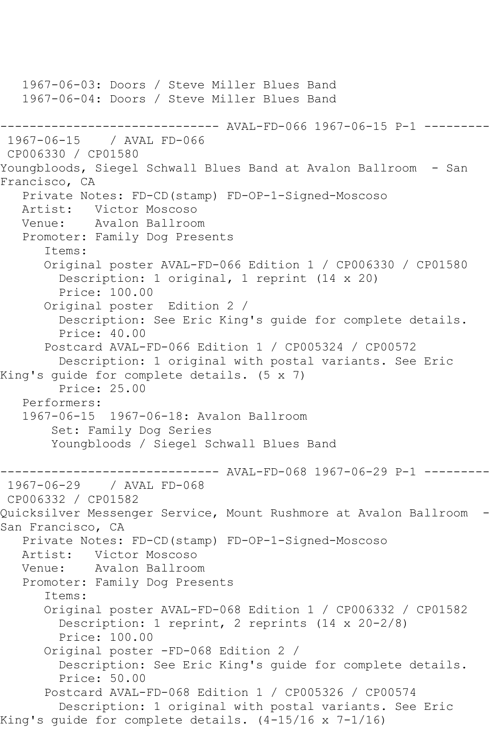1967-06-03: Doors / Steve Miller Blues Band 1967-06-04: Doors / Steve Miller Blues Band ------------------------------ AVAL-FD-066 1967-06-15 P-1 --------- / AVAL FD-066 CP006330 / CP01580 Youngbloods, Siegel Schwall Blues Band at Avalon Ballroom - San Francisco, CA Private Notes: FD-CD(stamp) FD-OP-1-Signed-Moscoso Artist: Victor Moscoso Venue: Avalon Ballroom Promoter: Family Dog Presents Items: Original poster AVAL-FD-066 Edition 1 / CP006330 / CP01580 Description: 1 original, 1 reprint (14 x 20) Price: 100.00 Original poster Edition 2 / Description: See Eric King's guide for complete details. Price: 40.00 Postcard AVAL-FD-066 Edition 1 / CP005324 / CP00572 Description: 1 original with postal variants. See Eric King's guide for complete details. (5 x 7) Price: 25.00 Performers: 1967-06-15 1967-06-18: Avalon Ballroom Set: Family Dog Series Youngbloods / Siegel Schwall Blues Band ------------------------------ AVAL-FD-068 1967-06-29 P-1 --------- 1967-06-29 / AVAL FD-068 CP006332 / CP01582 Quicksilver Messenger Service, Mount Rushmore at Avalon Ballroom - San Francisco, CA Private Notes: FD-CD(stamp) FD-OP-1-Signed-Moscoso Artist: Victor Moscoso Venue: Avalon Ballroom Promoter: Family Dog Presents Items: Original poster AVAL-FD-068 Edition 1 / CP006332 / CP01582 Description: 1 reprint, 2 reprints (14 x 20-2/8) Price: 100.00 Original poster -FD-068 Edition 2 / Description: See Eric King's guide for complete details. Price: 50.00 Postcard AVAL-FD-068 Edition 1 / CP005326 / CP00574 Description: 1 original with postal variants. See Eric King's guide for complete details. (4-15/16 x 7-1/16)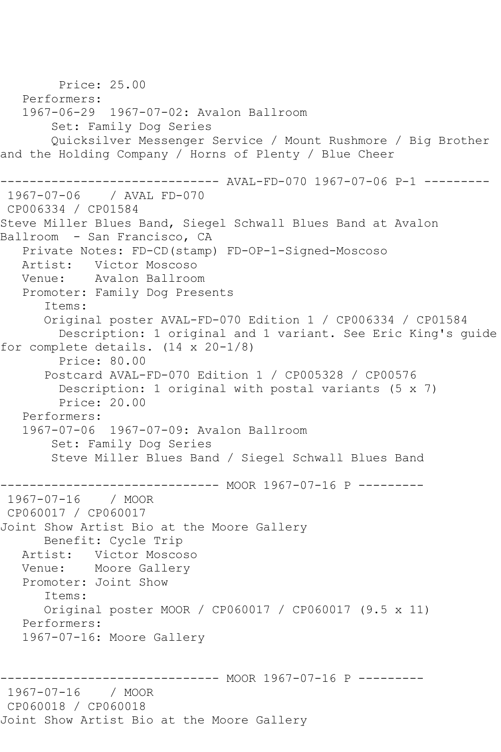Price: 25.00 Performers: 1967-06-29 1967-07-02: Avalon Ballroom Set: Family Dog Series Quicksilver Messenger Service / Mount Rushmore / Big Brother and the Holding Company / Horns of Plenty / Blue Cheer ------------------------------ AVAL-FD-070 1967-07-06 P-1 --------- 1967-07-06 / AVAL FD-070 CP006334 / CP01584 Steve Miller Blues Band, Siegel Schwall Blues Band at Avalon Ballroom - San Francisco, CA Private Notes: FD-CD(stamp) FD-OP-1-Signed-Moscoso Artist: Victor Moscoso Venue: Avalon Ballroom Promoter: Family Dog Presents Items: Original poster AVAL-FD-070 Edition 1 / CP006334 / CP01584 Description: 1 original and 1 variant. See Eric King's guide for complete details. (14 x 20-1/8) Price: 80.00 Postcard AVAL-FD-070 Edition 1 / CP005328 / CP00576 Description: 1 original with postal variants (5 x 7) Price: 20.00 Performers: 1967-07-06 1967-07-09: Avalon Ballroom Set: Family Dog Series Steve Miller Blues Band / Siegel Schwall Blues Band ------------------------------ MOOR 1967-07-16 P --------- 1967-07-16 / MOOR CP060017 / CP060017 Joint Show Artist Bio at the Moore Gallery Benefit: Cycle Trip Artist: Victor Moscoso Venue: Moore Gallery Promoter: Joint Show Items: Original poster MOOR / CP060017 / CP060017 (9.5 x 11) Performers: 1967-07-16: Moore Gallery ------------------------------ MOOR 1967-07-16 P --------- 1967-07-16 / MOOR CP060018 / CP060018 Joint Show Artist Bio at the Moore Gallery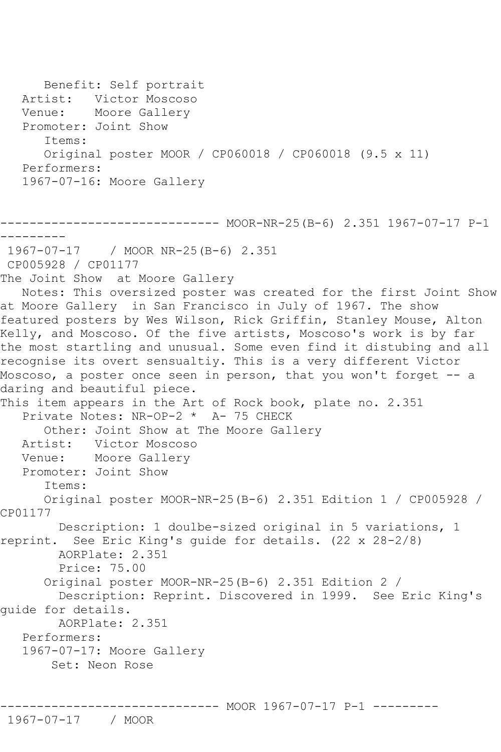```
 Benefit: Self portrait
   Artist: Victor Moscoso
   Venue: Moore Gallery
   Promoter: Joint Show
       Items:
       Original poster MOOR / CP060018 / CP060018 (9.5 x 11)
   Performers:
   1967-07-16: Moore Gallery
------------------------------ MOOR-NR-25(B-6) 2.351 1967-07-17 P-1 
---------
1967-07-17 / MOOR NR-25(B-6) 2.351
CP005928 / CP01177
The Joint Show at Moore Gallery
   Notes: This oversized poster was created for the first Joint Show 
at Moore Gallery in San Francisco in July of 1967. The show 
featured posters by Wes Wilson, Rick Griffin, Stanley Mouse, Alton 
Kelly, and Moscoso. Of the five artists, Moscoso's work is by far 
the most startling and unusual. Some even find it distubing and all 
recognise its overt sensualtiy. This is a very different Victor 
Moscoso, a poster once seen in person, that you won't forget -- a
daring and beautiful piece.
This item appears in the Art of Rock book, plate no. 2.351
  Private Notes: NR-OP-2 * A- 75 CHECK
      Other: Joint Show at The Moore Gallery
   Artist: Victor Moscoso
   Venue: Moore Gallery
   Promoter: Joint Show
       Items:
      Original poster MOOR-NR-25(B-6) 2.351 Edition 1 / CP005928 / 
CP01177
        Description: 1 doulbe-sized original in 5 variations, 1 
reprint. See Eric King's guide for details. (22 x 28-2/8)
        AORPlate: 2.351 
         Price: 75.00
       Original poster MOOR-NR-25(B-6) 2.351 Edition 2 / 
         Description: Reprint. Discovered in 1999. See Eric King's 
guide for details.
        AORPlate: 2.351 
   Performers:
   1967-07-17: Moore Gallery
        Set: Neon Rose
```

```
------------------------------ MOOR 1967-07-17 P-1 ---------
```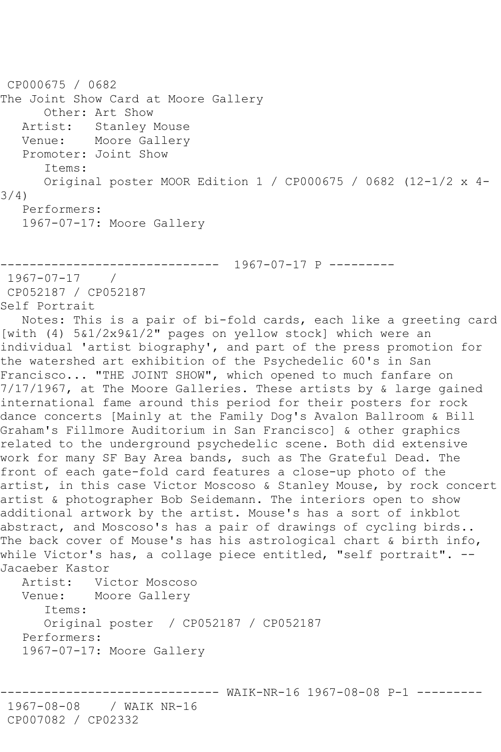```
CP000675 / 0682
The Joint Show Card at Moore Gallery
       Other: Art Show
   Artist: Stanley Mouse
   Venue: Moore Gallery
   Promoter: Joint Show
       Items:
      Original poster MOOR Edition 1 / CP000675 / 0682 (12-1/2 x 4-
3/4)
   Performers:
   1967-07-17: Moore Gallery
------------------------------ 1967-07-17 P ---------
1967-07-17 / 
CP052187 / CP052187
Self Portrait
   Notes: This is a pair of bi-fold cards, each like a greeting card 
[with (4) 5&1/2x9&1/2" pages on yellow stock] which were an 
individual 'artist biography', and part of the press promotion for 
the watershed art exhibition of the Psychedelic 60's in San 
Francisco... "THE JOINT SHOW", which opened to much fanfare on 
7/17/1967, at The Moore Galleries. These artists by & large gained 
international fame around this period for their posters for rock 
dance concerts [Mainly at the Family Dog's Avalon Ballroom & Bill 
Graham's Fillmore Auditorium in San Francisco] & other graphics 
related to the underground psychedelic scene. Both did extensive 
work for many SF Bay Area bands, such as The Grateful Dead. The 
front of each gate-fold card features a close-up photo of the 
artist, in this case Victor Moscoso & Stanley Mouse, by rock concert 
artist & photographer Bob Seidemann. The interiors open to show 
additional artwork by the artist. Mouse's has a sort of inkblot 
abstract, and Moscoso's has a pair of drawings of cycling birds..
The back cover of Mouse's has his astrological chart & birth info,
while Victor's has, a collage piece entitled, "self portrait". --
Jacaeber Kastor
   Artist: Victor Moscoso
   Venue: Moore Gallery
       Items:
       Original poster / CP052187 / CP052187
   Performers:
   1967-07-17: Moore Gallery
                      ------------------------------ WAIK-NR-16 1967-08-08 P-1 ---------
1967-08-08 / WAIK NR-16
CP007082 / CP02332
```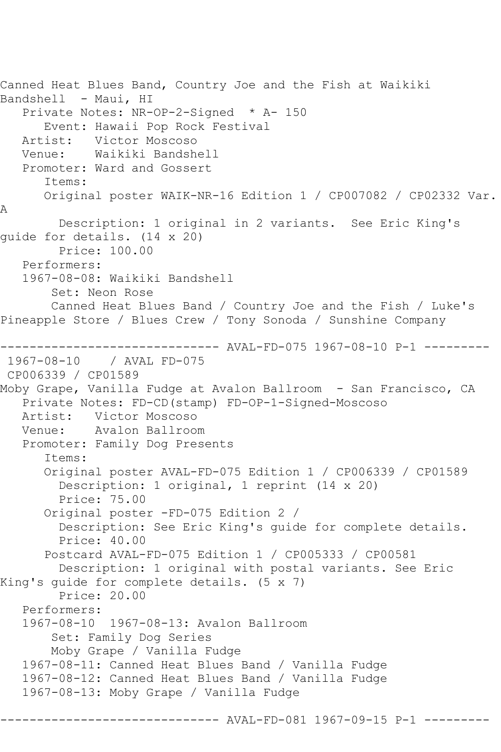```
Canned Heat Blues Band, Country Joe and the Fish at Waikiki 
Bandshell - Maui, HI
   Private Notes: NR-OP-2-Signed * A- 150
   Event: Hawaii Pop Rock Festival
            Victor Moscoso
   Venue: Waikiki Bandshell
   Promoter: Ward and Gossert
       Items:
      Original poster WAIK-NR-16 Edition 1 / CP007082 / CP02332 Var. 
A
         Description: 1 original in 2 variants. See Eric King's 
guide for details. (14 x 20)
        Price: 100.00
   Performers:
   1967-08-08: Waikiki Bandshell
        Set: Neon Rose
        Canned Heat Blues Band / Country Joe and the Fish / Luke's 
Pineapple Store / Blues Crew / Tony Sonoda / Sunshine Company
------------------------------ AVAL-FD-075 1967-08-10 P-1 ---------
1967-08-10 / AVAL FD-075
CP006339 / CP01589
Moby Grape, Vanilla Fudge at Avalon Ballroom - San Francisco, CA
   Private Notes: FD-CD(stamp) FD-OP-1-Signed-Moscoso
  Artist: Victor Moscoso<br>Venue: Avalon Ballroo
            Avalon Ballroom
   Promoter: Family Dog Presents
       Items:
       Original poster AVAL-FD-075 Edition 1 / CP006339 / CP01589
         Description: 1 original, 1 reprint (14 x 20)
         Price: 75.00
       Original poster -FD-075 Edition 2 / 
         Description: See Eric King's guide for complete details.
         Price: 40.00
       Postcard AVAL-FD-075 Edition 1 / CP005333 / CP00581
         Description: 1 original with postal variants. See Eric 
King's guide for complete details. (5 x 7)
         Price: 20.00
   Performers:
   1967-08-10 1967-08-13: Avalon Ballroom
        Set: Family Dog Series
        Moby Grape / Vanilla Fudge
   1967-08-11: Canned Heat Blues Band / Vanilla Fudge
   1967-08-12: Canned Heat Blues Band / Vanilla Fudge
   1967-08-13: Moby Grape / Vanilla Fudge
                          ----- AVAL-FD-081 1967-09-15 P-1 -------
```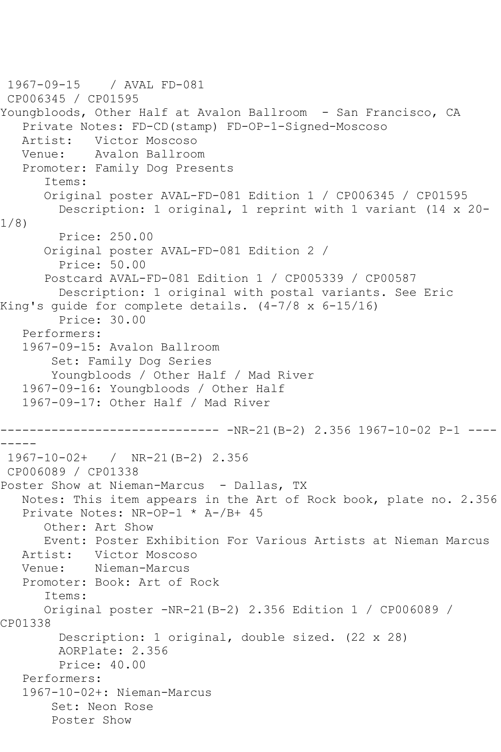```
1967-09-15 / AVAL FD-081
CP006345 / CP01595
Youngbloods, Other Half at Avalon Ballroom - San Francisco, CA
   Private Notes: FD-CD(stamp) FD-OP-1-Signed-Moscoso
   Artist: Victor Moscoso
   Venue: Avalon Ballroom
   Promoter: Family Dog Presents
       Items:
      Original poster AVAL-FD-081 Edition 1 / CP006345 / CP01595
         Description: 1 original, 1 reprint with 1 variant (14 x 20-
1/8)
         Price: 250.00
       Original poster AVAL-FD-081 Edition 2 / 
         Price: 50.00
       Postcard AVAL-FD-081 Edition 1 / CP005339 / CP00587
         Description: 1 original with postal variants. See Eric 
King's guide for complete details. (4-7/8 x 6-15/16)
        Price: 30.00
   Performers:
   1967-09-15: Avalon Ballroom
        Set: Family Dog Series
        Youngbloods / Other Half / Mad River
   1967-09-16: Youngbloods / Other Half
   1967-09-17: Other Half / Mad River
      ------------------------------ -NR-21(B-2) 2.356 1967-10-02 P-1 ----
-----
1967-10-02+ / NR-21(B-2) 2.356
CP006089 / CP01338
Poster Show at Nieman-Marcus - Dallas, TX
   Notes: This item appears in the Art of Rock book, plate no. 2.356
   Private Notes: NR-OP-1 * A-/B+ 45
      Other: Art Show
      Event: Poster Exhibition For Various Artists at Nieman Marcus
   Artist: Victor Moscoso
   Venue: Nieman-Marcus
   Promoter: Book: Art of Rock
       Items:
      Original poster -NR-21(B-2) 2.356 Edition 1 / CP006089 / 
CP01338
         Description: 1 original, double sized. (22 x 28)
         AORPlate: 2.356 
         Price: 40.00
   Performers:
   1967-10-02+: Nieman-Marcus
        Set: Neon Rose
        Poster Show
```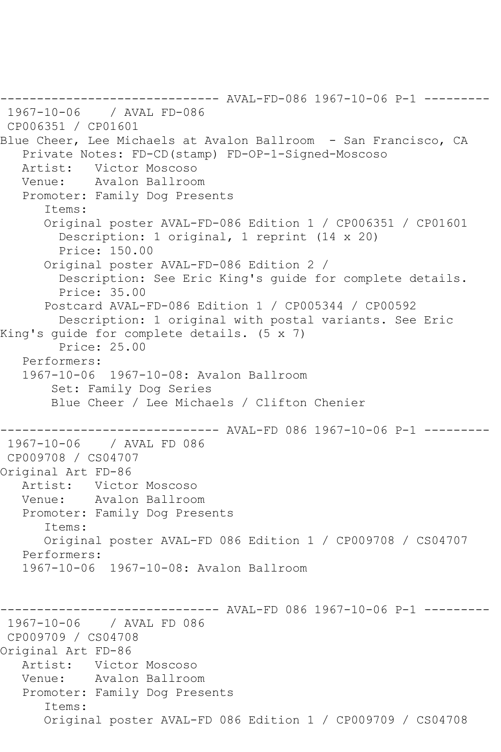------------------------------ AVAL-FD-086 1967-10-06 P-1 --------- 1967-10-06 / AVAL FD-086 CP006351 / CP01601 Blue Cheer, Lee Michaels at Avalon Ballroom - San Francisco, CA Private Notes: FD-CD(stamp) FD-OP-1-Signed-Moscoso Artist: Victor Moscoso Venue: Avalon Ballroom Promoter: Family Dog Presents Items: Original poster AVAL-FD-086 Edition 1 / CP006351 / CP01601 Description: 1 original, 1 reprint (14 x 20) Price: 150.00 Original poster AVAL-FD-086 Edition 2 / Description: See Eric King's guide for complete details. Price: 35.00 Postcard AVAL-FD-086 Edition 1 / CP005344 / CP00592 Description: 1 original with postal variants. See Eric King's guide for complete details. (5 x 7) Price: 25.00 Performers: 1967-10-06 1967-10-08: Avalon Ballroom Set: Family Dog Series Blue Cheer / Lee Michaels / Clifton Chenier ------------------------------ AVAL-FD 086 1967-10-06 P-1 --------- 1967-10-06 / AVAL FD 086 CP009708 / CS04707 Original Art FD-86 Artist: Victor Moscoso Venue: Avalon Ballroom Promoter: Family Dog Presents Items: Original poster AVAL-FD 086 Edition 1 / CP009708 / CS04707 Performers: 1967-10-06 1967-10-08: Avalon Ballroom ------------------------------ AVAL-FD 086 1967-10-06 P-1 --------- 1967-10-06 / AVAL FD 086 CP009709 / CS04708 Original Art FD-86 Artist: Victor Moscoso<br>Venue: Avalon Ballrooy Avalon Ballroom Promoter: Family Dog Presents Items: Original poster AVAL-FD 086 Edition 1 / CP009709 / CS04708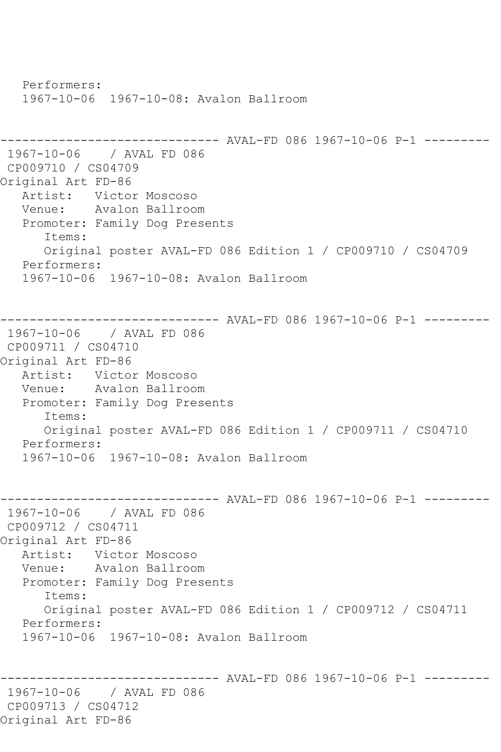Performers: 1967-10-06 1967-10-08: Avalon Ballroom ------------------------------ AVAL-FD 086 1967-10-06 P-1 --------- 1967-10-06 / AVAL FD 086 CP009710 / CS04709 Original Art FD-86 Artist: Victor Moscoso Venue: Avalon Ballroom Promoter: Family Dog Presents Items: Original poster AVAL-FD 086 Edition 1 / CP009710 / CS04709 Performers: 1967-10-06 1967-10-08: Avalon Ballroom ------------------------------ AVAL-FD 086 1967-10-06 P-1 --------- 1967-10-06 / AVAL FD 086 CP009711 / CS04710 Original Art FD-86<br>Artist: Victo Victor Moscoso Venue: Avalon Ballroom Promoter: Family Dog Presents Items: Original poster AVAL-FD 086 Edition 1 / CP009711 / CS04710 Performers: 1967-10-06 1967-10-08: Avalon Ballroom ------------------------------ AVAL-FD 086 1967-10-06 P-1 --------- 1967-10-06 / AVAL FD 086 CP009712 / CS04711 Original Art FD-86 Artist: Victor Moscoso Venue: Avalon Ballroom Promoter: Family Dog Presents Items: Original poster AVAL-FD 086 Edition 1 / CP009712 / CS04711 Performers: 1967-10-06 1967-10-08: Avalon Ballroom ------------------------------ AVAL-FD 086 1967-10-06 P-1 --------- 1967-10-06 / AVAL FD 086 CP009713 / CS04712 Original Art FD-86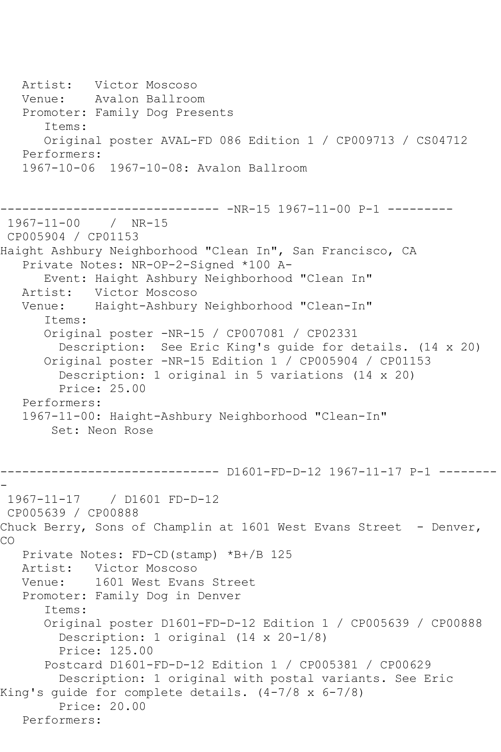Artist: Victor Moscoso Venue: Avalon Ballroom Promoter: Family Dog Presents Items: Original poster AVAL-FD 086 Edition 1 / CP009713 / CS04712 Performers: 1967-10-06 1967-10-08: Avalon Ballroom ------------------------------ -NR-15 1967-11-00 P-1 --------- 1967-11-00 / NR-15 CP005904 / CP01153 Haight Ashbury Neighborhood "Clean In", San Francisco, CA Private Notes: NR-OP-2-Signed \*100 A- Event: Haight Ashbury Neighborhood "Clean In" Victor Moscoso Venue: Haight-Ashbury Neighborhood "Clean-In" Items: Original poster -NR-15 / CP007081 / CP02331 Description: See Eric King's guide for details. (14 x 20) Original poster -NR-15 Edition 1 / CP005904 / CP01153 Description: 1 original in 5 variations (14 x 20) Price: 25.00 Performers: 1967-11-00: Haight-Ashbury Neighborhood "Clean-In" Set: Neon Rose ------------------------------ D1601-FD-D-12 1967-11-17 P-1 -------- - 1967-11-17 / D1601 FD-D-12 CP005639 / CP00888 Chuck Berry, Sons of Champlin at  $1601$  West Evans Street - Denver, CO Private Notes: FD-CD(stamp) \*B+/B 125 Artist: Victor Moscoso Venue: 1601 West Evans Street Promoter: Family Dog in Denver Items: Original poster D1601-FD-D-12 Edition 1 / CP005639 / CP00888 Description: 1 original (14 x 20-1/8) Price: 125.00 Postcard D1601-FD-D-12 Edition 1 / CP005381 / CP00629 Description: 1 original with postal variants. See Eric King's guide for complete details. (4-7/8 x 6-7/8) Price: 20.00 Performers: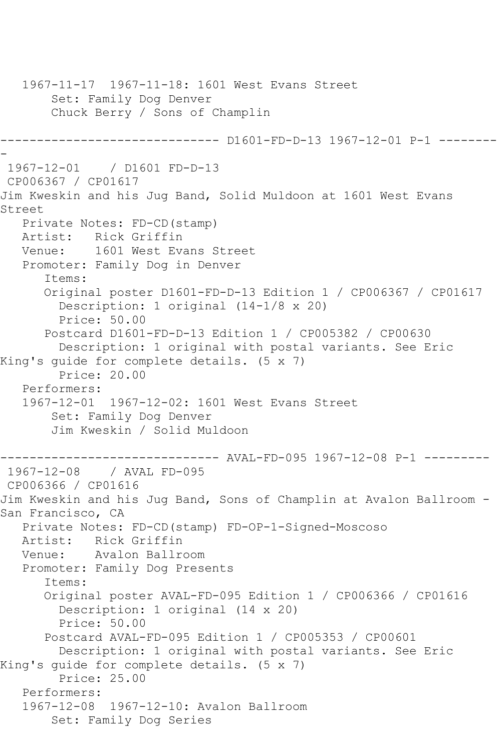1967-11-17 1967-11-18: 1601 West Evans Street Set: Family Dog Denver Chuck Berry / Sons of Champlin ------------------------------ D1601-FD-D-13 1967-12-01 P-1 -------- - 1967-12-01 / D1601 FD-D-13 CP006367 / CP01617 Jim Kweskin and his Jug Band, Solid Muldoon at 1601 West Evans Street Private Notes: FD-CD(stamp) Artist: Rick Griffin<br>Venue: 1601 West Eve 1601 West Evans Street Promoter: Family Dog in Denver Items: Original poster D1601-FD-D-13 Edition 1 / CP006367 / CP01617 Description: 1 original (14-1/8 x 20) Price: 50.00 Postcard D1601-FD-D-13 Edition 1 / CP005382 / CP00630 Description: 1 original with postal variants. See Eric King's guide for complete details. (5 x 7) Price: 20.00 Performers: 1967-12-01 1967-12-02: 1601 West Evans Street Set: Family Dog Denver Jim Kweskin / Solid Muldoon ------------------------------ AVAL-FD-095 1967-12-08 P-1 --------- 1967-12-08 / AVAL FD-095 CP006366 / CP01616 Jim Kweskin and his Jug Band, Sons of Champlin at Avalon Ballroom - San Francisco, CA Private Notes: FD-CD(stamp) FD-OP-1-Signed-Moscoso Artist: Rick Griffin Venue: Avalon Ballroom Promoter: Family Dog Presents Items: Original poster AVAL-FD-095 Edition 1 / CP006366 / CP01616 Description: 1 original (14 x 20) Price: 50.00 Postcard AVAL-FD-095 Edition 1 / CP005353 / CP00601 Description: 1 original with postal variants. See Eric King's guide for complete details. (5 x 7) Price: 25.00 Performers: 1967-12-08 1967-12-10: Avalon Ballroom Set: Family Dog Series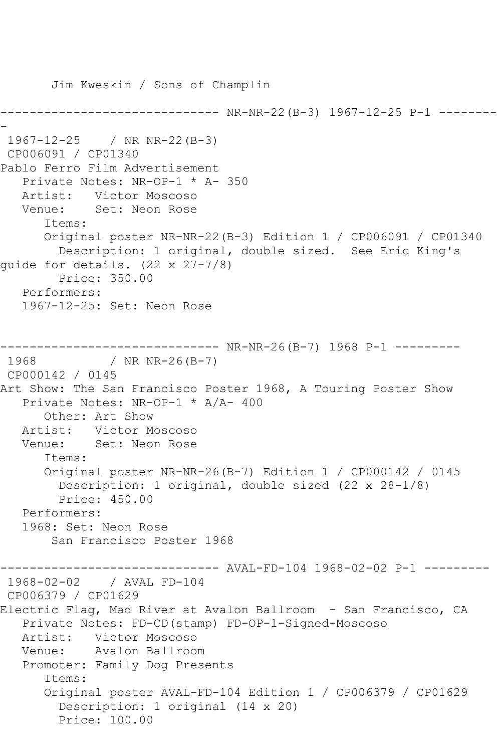Jim Kweskin / Sons of Champlin ------------------------------ NR-NR-22(B-3) 1967-12-25 P-1 -------- - 1967-12-25 / NR NR-22(B-3) CP006091 / CP01340 Pablo Ferro Film Advertisement Private Notes: NR-OP-1 \* A- 350 Artist: Victor Moscoso Venue: Set: Neon Rose Items: Original poster NR-NR-22(B-3) Edition 1 / CP006091 / CP01340 Description: 1 original, double sized. See Eric King's guide for details. (22 x 27-7/8) Price: 350.00 Performers: 1967-12-25: Set: Neon Rose ------------------------------ NR-NR-26(B-7) 1968 P-1 --------- 1968 / NR NR-26(B-7) CP000142 / 0145 Art Show: The San Francisco Poster 1968, A Touring Poster Show Private Notes: NR-OP-1 \* A/A- 400 Other: Art Show Artist: Victor Moscoso Venue: Set: Neon Rose Items: Original poster NR-NR-26(B-7) Edition 1 / CP000142 / 0145 Description: 1 original, double sized (22 x 28-1/8) Price: 450.00 Performers: 1968: Set: Neon Rose San Francisco Poster 1968 ------------------------------ AVAL-FD-104 1968-02-02 P-1 --------- 1968-02-02 / AVAL FD-104 CP006379 / CP01629 Electric Flag, Mad River at Avalon Ballroom - San Francisco, CA Private Notes: FD-CD(stamp) FD-OP-1-Signed-Moscoso Artist: Victor Moscoso Venue: Avalon Ballroom Promoter: Family Dog Presents Items: Original poster AVAL-FD-104 Edition 1 / CP006379 / CP01629 Description: 1 original (14 x 20) Price: 100.00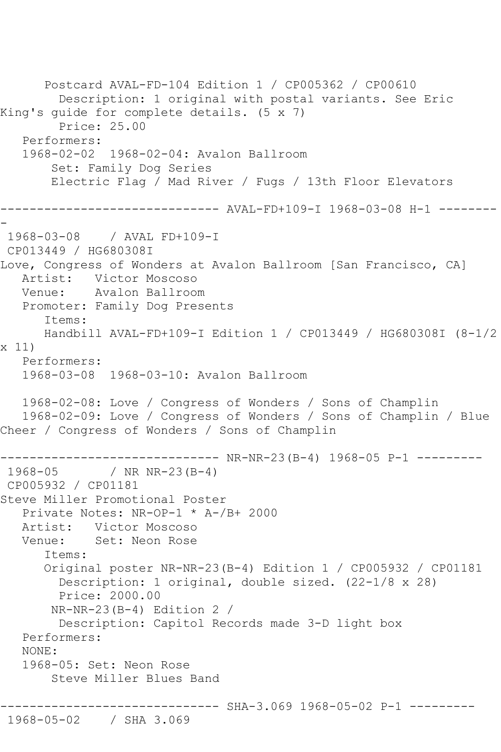Postcard AVAL-FD-104 Edition 1 / CP005362 / CP00610 Description: 1 original with postal variants. See Eric King's guide for complete details. (5 x 7) Price: 25.00 Performers: 1968-02-02 1968-02-04: Avalon Ballroom Set: Family Dog Series Electric Flag / Mad River / Fugs / 13th Floor Elevators ------------------------------ AVAL-FD+109-I 1968-03-08 H-1 -------- - 1968-03-08 / AVAL FD+109-I CP013449 / HG680308I Love, Congress of Wonders at Avalon Ballroom [San Francisco, CA] Artist: Victor Moscoso Venue: Avalon Ballroom Promoter: Family Dog Presents Items: Handbill AVAL-FD+109-I Edition 1 / CP013449 / HG680308I (8-1/2 x 11) Performers: 1968-03-08 1968-03-10: Avalon Ballroom 1968-02-08: Love / Congress of Wonders / Sons of Champlin 1968-02-09: Love / Congress of Wonders / Sons of Champlin / Blue Cheer / Congress of Wonders / Sons of Champlin ------------------------------ NR-NR-23(B-4) 1968-05 P-1 --------- / NR NR-23(B-4) CP005932 / CP01181 Steve Miller Promotional Poster Private Notes: NR-OP-1 \* A-/B+ 2000 Artist: Victor Moscoso<br>Venue: Set: Neon Rose Set: Neon Rose Items: Original poster NR-NR-23(B-4) Edition 1 / CP005932 / CP01181 Description: 1 original, double sized. (22-1/8 x 28) Price: 2000.00 NR-NR-23(B-4) Edition 2 / Description: Capitol Records made 3-D light box Performers: NONE: 1968-05: Set: Neon Rose Steve Miller Blues Band ---------------- SHA-3.069 1968-05-02 P-1 ---------1968-05-02 / SHA 3.069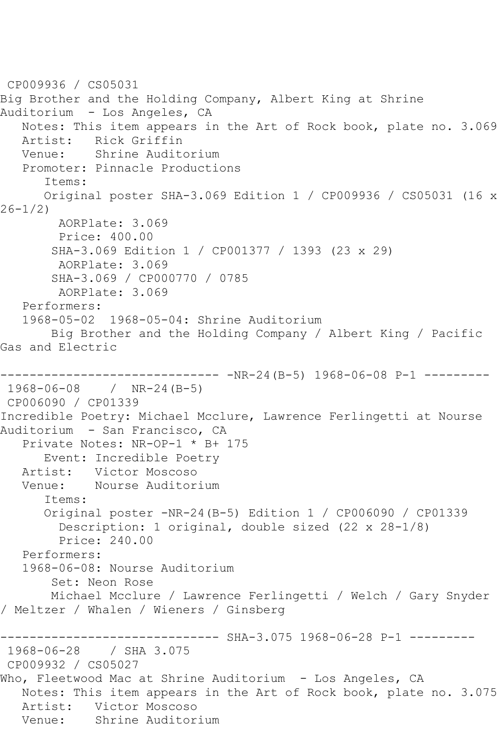```
CP009936 / CS05031
Big Brother and the Holding Company, Albert King at Shrine 
Auditorium - Los Angeles, CA
   Notes: This item appears in the Art of Rock book, plate no. 3.069
   Artist: Rick Griffin
   Venue: Shrine Auditorium
   Promoter: Pinnacle Productions
       Items:
      Original poster SHA-3.069 Edition 1 / CP009936 / CS05031 (16 x 
26-1/2)
        AORPlate: 3.069 
        Price: 400.00
       SHA-3.069 Edition 1 / CP001377 / 1393 (23 x 29)
        AORPlate: 3.069 
        SHA-3.069 / CP000770 / 0785
        AORPlate: 3.069 
   Performers:
   1968-05-02 1968-05-04: Shrine Auditorium
       Big Brother and the Holding Company / Albert King / Pacific 
Gas and Electric
                     --------- -NR-24(B-5) 1968-06-08 P-1 ---------
1968-06-08 / NR-24(B-5)
CP006090 / CP01339
Incredible Poetry: Michael Mcclure, Lawrence Ferlingetti at Nourse 
Auditorium - San Francisco, CA
   Private Notes: NR-OP-1 * B+ 175
      Event: Incredible Poetry
   Artist: Victor Moscoso
   Venue: Nourse Auditorium
      Items:
      Original poster -NR-24(B-5) Edition 1 / CP006090 / CP01339
         Description: 1 original, double sized (22 x 28-1/8)
        Price: 240.00
   Performers:
   1968-06-08: Nourse Auditorium
        Set: Neon Rose
       Michael Mcclure / Lawrence Ferlingetti / Welch / Gary Snyder 
/ Meltzer / Whalen / Wieners / Ginsberg
                  ------------ SHA-3.075 1968-06-28 P-1 ---------
1968-06-28 / SHA 3.075
CP009932 / CS05027
Who, Fleetwood Mac at Shrine Auditorium - Los Angeles, CA
   Notes: This item appears in the Art of Rock book, plate no. 3.075
   Artist: Victor Moscoso
   Venue: Shrine Auditorium
```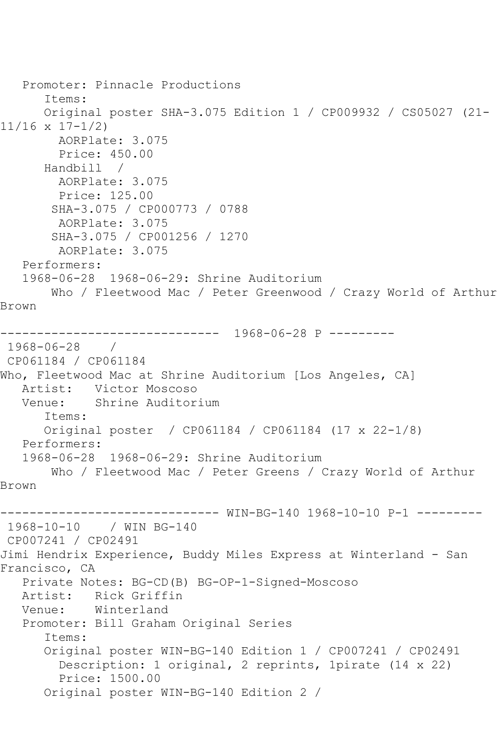```
 Promoter: Pinnacle Productions
       Items:
       Original poster SHA-3.075 Edition 1 / CP009932 / CS05027 (21-
11/16 x 17-1/2)
         AORPlate: 3.075 
         Price: 450.00
       Handbill / 
         AORPlate: 3.075 
         Price: 125.00
        SHA-3.075 / CP000773 / 0788
         AORPlate: 3.075 
        SHA-3.075 / CP001256 / 1270
         AORPlate: 3.075 
   Performers:
    1968-06-28 1968-06-29: Shrine Auditorium
        Who / Fleetwood Mac / Peter Greenwood / Crazy World of Arthur 
Brown
                   ------------------------------ 1968-06-28 P ---------
1968-06-28 / 
CP061184 / CP061184
Who, Fleetwood Mac at Shrine Auditorium [Los Angeles, CA]
   Artist: Victor Moscoso
   Venue: Shrine Auditorium
       Items:
       Original poster / CP061184 / CP061184 (17 x 22-1/8)
   Performers:
    1968-06-28 1968-06-29: Shrine Auditorium
        Who / Fleetwood Mac / Peter Greens / Crazy World of Arthur 
Brown
------------------------------ WIN-BG-140 1968-10-10 P-1 ---------
1968-10-10 / WIN BG-140
CP007241 / CP02491
Jimi Hendrix Experience, Buddy Miles Express at Winterland - San 
Francisco, CA
    Private Notes: BG-CD(B) BG-OP-1-Signed-Moscoso
  Artist: Rick Griffin<br>Venue: Winterland
            Winterland
    Promoter: Bill Graham Original Series
       Items:
       Original poster WIN-BG-140 Edition 1 / CP007241 / CP02491
         Description: 1 original, 2 reprints, 1pirate (14 x 22)
         Price: 1500.00
       Original poster WIN-BG-140 Edition 2 /
```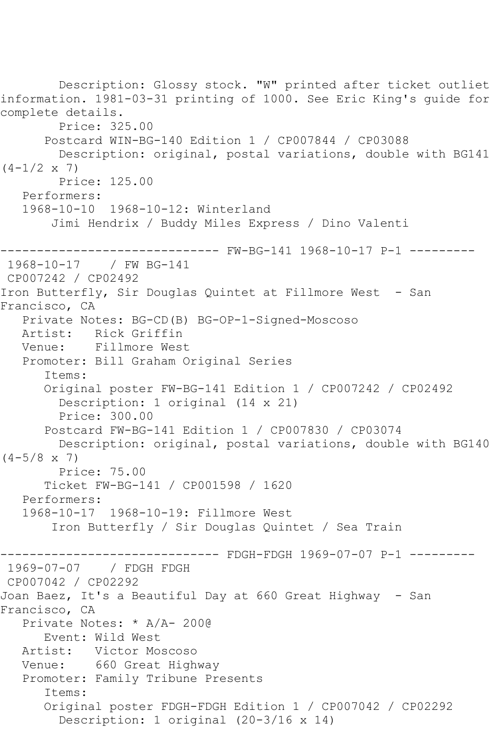Description: Glossy stock. "W" printed after ticket outliet information. 1981-03-31 printing of 1000. See Eric King's guide for complete details. Price: 325.00 Postcard WIN-BG-140 Edition 1 / CP007844 / CP03088 Description: original, postal variations, double with BG141  $(4-1/2 \times 7)$  Price: 125.00 Performers: 1968-10-10 1968-10-12: Winterland Jimi Hendrix / Buddy Miles Express / Dino Valenti ------------------------------ FW-BG-141 1968-10-17 P-1 --------- 1968-10-17 / FW BG-141 CP007242 / CP02492 Iron Butterfly, Sir Douglas Quintet at Fillmore West - San Francisco, CA Private Notes: BG-CD(B) BG-OP-1-Signed-Moscoso Rick Griffin Venue: Fillmore West Promoter: Bill Graham Original Series Items: Original poster FW-BG-141 Edition 1 / CP007242 / CP02492 Description: 1 original (14 x 21) Price: 300.00 Postcard FW-BG-141 Edition 1 / CP007830 / CP03074 Description: original, postal variations, double with BG140  $(4-5/8 \times 7)$  Price: 75.00 Ticket FW-BG-141 / CP001598 / 1620 Performers: 1968-10-17 1968-10-19: Fillmore West Iron Butterfly / Sir Douglas Quintet / Sea Train ------ FDGH-FDGH 1969-07-07 P-1 ---------1969-07-07 / FDGH FDGH CP007042 / CP02292 Joan Baez, It's a Beautiful Day at 660 Great Highway - San Francisco, CA Private Notes: \* A/A- 200@ Event: Wild West Artist: Victor Moscoso Venue: 660 Great Highway Promoter: Family Tribune Presents Items: Original poster FDGH-FDGH Edition 1 / CP007042 / CP02292 Description: 1 original (20-3/16 x 14)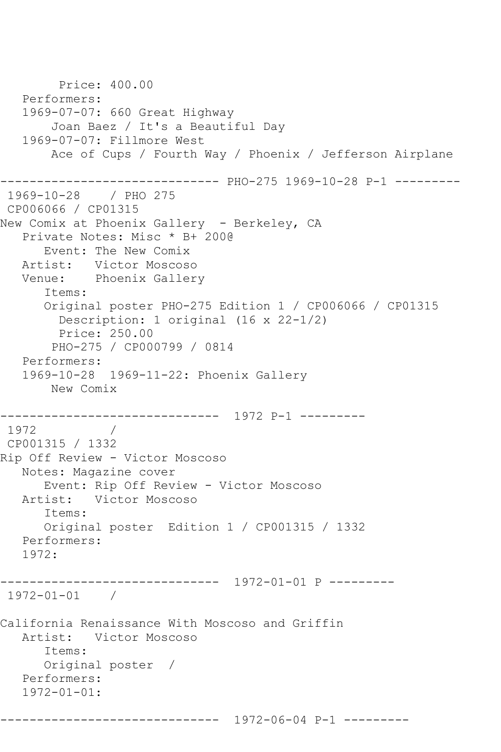```
 Price: 400.00
   Performers:
   1969-07-07: 660 Great Highway
        Joan Baez / It's a Beautiful Day
   1969-07-07: Fillmore West
        Ace of Cups / Fourth Way / Phoenix / Jefferson Airplane
------------------------------ PHO-275 1969-10-28 P-1 ---------
1969-10-28 / PHO 275
CP006066 / CP01315
New Comix at Phoenix Gallery - Berkeley, CA
   Private Notes: Misc * B+ 200@
      Event: The New Comix
   Artist: Victor Moscoso
   Venue: Phoenix Gallery
       Items:
       Original poster PHO-275 Edition 1 / CP006066 / CP01315
         Description: 1 original (16 x 22-1/2)
         Price: 250.00
        PHO-275 / CP000799 / 0814
   Performers:
   1969-10-28 1969-11-22: Phoenix Gallery
       New Comix
    ------------------------------ 1972 P-1 ---------
1972 / 
CP001315 / 1332
Rip Off Review - Victor Moscoso
   Notes: Magazine cover
       Event: Rip Off Review - Victor Moscoso
   Artist: Victor Moscoso
       Items:
      Original poster Edition 1 / CP001315 / 1332
   Performers:
   1972:
------------------------------ 1972-01-01 P ---------
1972-01-01 / 
California Renaissance With Moscoso and Griffin
   Artist: Victor Moscoso
       Items:
       Original poster / 
   Performers:
   1972-01-01:
        ------------------------------ 1972-06-04 P-1 ---------
```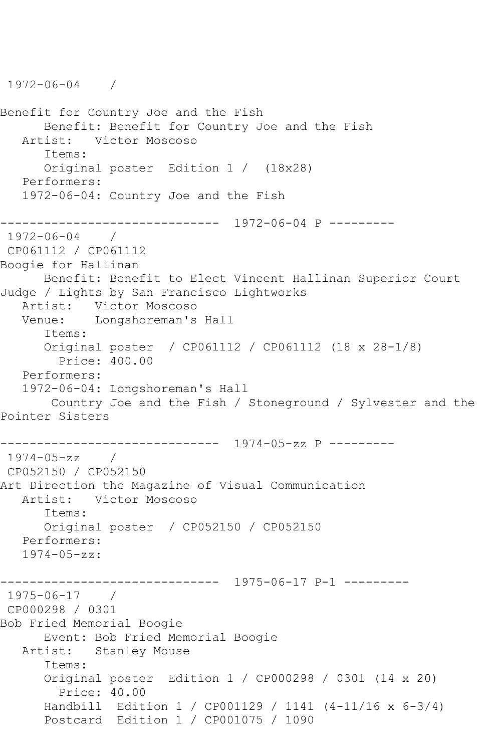```
1972-06-04 / 
Benefit for Country Joe and the Fish
      Benefit: Benefit for Country Joe and the Fish
   Artist: Victor Moscoso
      Items:
      Original poster Edition 1 / (18x28)
   Performers:
   1972-06-04: Country Joe and the Fish
------------------------------ 1972-06-04 P ---------
1972-06-04 / 
CP061112 / CP061112
Boogie for Hallinan
      Benefit: Benefit to Elect Vincent Hallinan Superior Court 
Judge / Lights by San Francisco Lightworks
   Artist: Victor Moscoso
   Venue: Longshoreman's Hall
      Items:
      Original poster / CP061112 / CP061112 (18 x 28-1/8)
        Price: 400.00
   Performers:
   1972-06-04: Longshoreman's Hall
       Country Joe and the Fish / Stoneground / Sylvester and the 
Pointer Sisters
------------------------------ 1974-05-zz P ---------
1974-05-zz / 
CP052150 / CP052150
Art Direction the Magazine of Visual Communication
   Artist: Victor Moscoso
      Items:
      Original poster / CP052150 / CP052150
   Performers:
   1974-05-zz:
------------------------------ 1975-06-17 P-1 ---------
1975-06-17 / 
CP000298 / 0301
Bob Fried Memorial Boogie
      Event: Bob Fried Memorial Boogie
   Artist: Stanley Mouse
      Items:
      Original poster Edition 1 / CP000298 / 0301 (14 x 20)
         Price: 40.00
      Handbill Edition 1 / CP001129 / 1141 (4-11/16 x 6-3/4)
      Postcard Edition 1 / CP001075 / 1090
```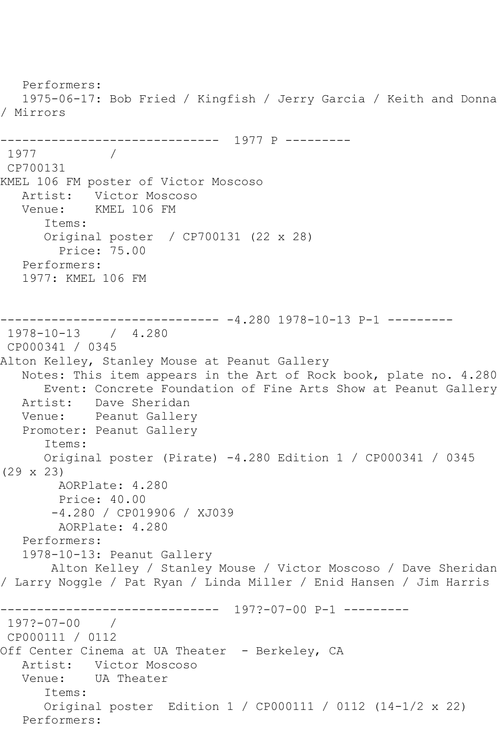Performers: 1975-06-17: Bob Fried / Kingfish / Jerry Garcia / Keith and Donna / Mirrors ------------------------------ 1977 P --------- 1977 / CP700131 KMEL 106 FM poster of Victor Moscoso Artist: Victor Moscoso Venue: KMEL 106 FM Items: Original poster / CP700131 (22 x 28) Price: 75.00 Performers: 1977: KMEL 106 FM ------------------------------ -4.280 1978-10-13 P-1 --------- 1978-10-13 / 4.280 CP000341 / 0345 Alton Kelley, Stanley Mouse at Peanut Gallery Notes: This item appears in the Art of Rock book, plate no. 4.280 Event: Concrete Foundation of Fine Arts Show at Peanut Gallery<br>Artist: Dave Sheridan Dave Sheridan Venue: Peanut Gallery Promoter: Peanut Gallery Items: Original poster (Pirate) -4.280 Edition 1 / CP000341 / 0345 (29 x 23) AORPlate: 4.280 Price: 40.00 -4.280 / CP019906 / XJ039 AORPlate: 4.280 Performers: 1978-10-13: Peanut Gallery Alton Kelley / Stanley Mouse / Victor Moscoso / Dave Sheridan / Larry Noggle / Pat Ryan / Linda Miller / Enid Hansen / Jim Harris ------------------------------ 197?-07-00 P-1 --------- 197?-07-00 / CP000111 / 0112 Off Center Cinema at UA Theater - Berkeley, CA Artist: Victor Moscoso Venue: UA Theater Items: Original poster Edition 1 / CP000111 / 0112 (14-1/2 x 22) Performers: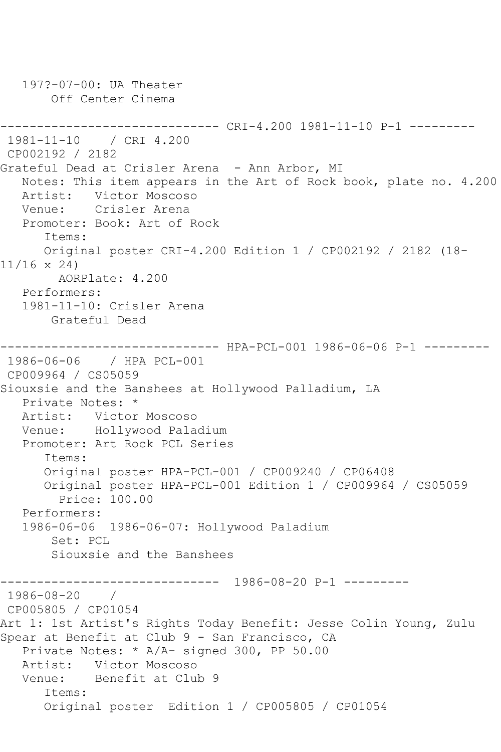197?-07-00: UA Theater Off Center Cinema ------------------------------ CRI-4.200 1981-11-10 P-1 --------- 1981-11-10 / CRI 4.200 CP002192 / 2182 Grateful Dead at Crisler Arena - Ann Arbor, MI Notes: This item appears in the Art of Rock book, plate no. 4.200 Artist: Victor Moscoso Venue: Crisler Arena Promoter: Book: Art of Rock Items: Original poster CRI-4.200 Edition 1 / CP002192 / 2182 (18- 11/16 x 24) AORPlate: 4.200 Performers: 1981-11-10: Crisler Arena Grateful Dead ------------------------------ HPA-PCL-001 1986-06-06 P-1 --------- 1986-06-06 / HPA PCL-001 CP009964 / CS05059 Siouxsie and the Banshees at Hollywood Palladium, LA Private Notes: \* Artist: Victor Moscoso<br>Venue: Hollywood Pala Hollywood Paladium Promoter: Art Rock PCL Series Items: Original poster HPA-PCL-001 / CP009240 / CP06408 Original poster HPA-PCL-001 Edition 1 / CP009964 / CS05059 Price: 100.00 Performers: 1986-06-06 1986-06-07: Hollywood Paladium Set: PCL Siouxsie and the Banshees ------------------------------ 1986-08-20 P-1 --------- 1986-08-20 / CP005805 / CP01054 Art 1: 1st Artist's Rights Today Benefit: Jesse Colin Young, Zulu Spear at Benefit at Club 9 - San Francisco, CA Private Notes: \* A/A- signed 300, PP 50.00 Artist: Victor Moscoso Venue: Benefit at Club 9 Items: Original poster Edition 1 / CP005805 / CP01054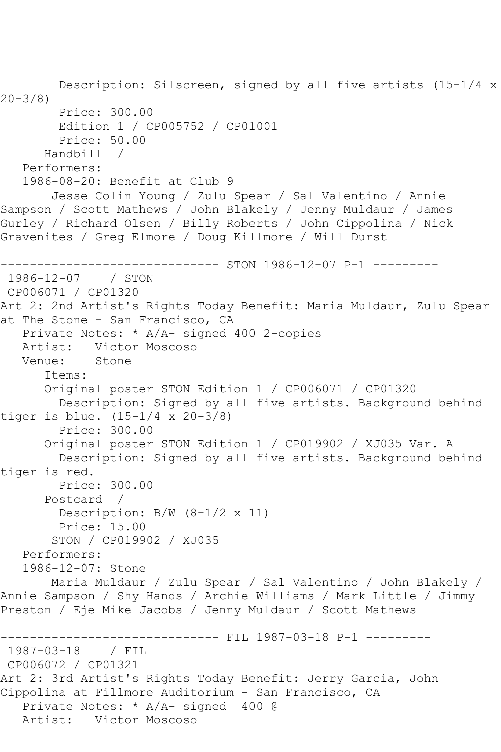Description: Silscreen, signed by all five artists (15-1/4 x  $20 - 3/8$  Price: 300.00 Edition 1 / CP005752 / CP01001 Price: 50.00 Handbill / Performers: 1986-08-20: Benefit at Club 9 Jesse Colin Young / Zulu Spear / Sal Valentino / Annie Sampson / Scott Mathews / John Blakely / Jenny Muldaur / James Gurley / Richard Olsen / Billy Roberts / John Cippolina / Nick Gravenites / Greg Elmore / Doug Killmore / Will Durst ------------------------------ STON 1986-12-07 P-1 --------- 1986-12-07 / STON CP006071 / CP01320 Art 2: 2nd Artist's Rights Today Benefit: Maria Muldaur, Zulu Spear at The Stone - San Francisco, CA Private Notes: \* A/A- signed 400 2-copies Artist: Victor Moscoso<br>Venue: Stone Venue: Items: Original poster STON Edition 1 / CP006071 / CP01320 Description: Signed by all five artists. Background behind tiger is blue. (15-1/4 x 20-3/8) Price: 300.00 Original poster STON Edition 1 / CP019902 / XJ035 Var. A Description: Signed by all five artists. Background behind tiger is red. Price: 300.00 Postcard / Description: B/W (8-1/2 x 11) Price: 15.00 STON / CP019902 / XJ035 Performers: 1986-12-07: Stone Maria Muldaur / Zulu Spear / Sal Valentino / John Blakely / Annie Sampson / Shy Hands / Archie Williams / Mark Little / Jimmy Preston / Eje Mike Jacobs / Jenny Muldaur / Scott Mathews ------------------------------ FIL 1987-03-18 P-1 --------- 1987-03-18 / FIL CP006072 / CP01321 Art 2: 3rd Artist's Rights Today Benefit: Jerry Garcia, John Cippolina at Fillmore Auditorium - San Francisco, CA Private Notes: \* A/A- signed 400 @ Artist: Victor Moscoso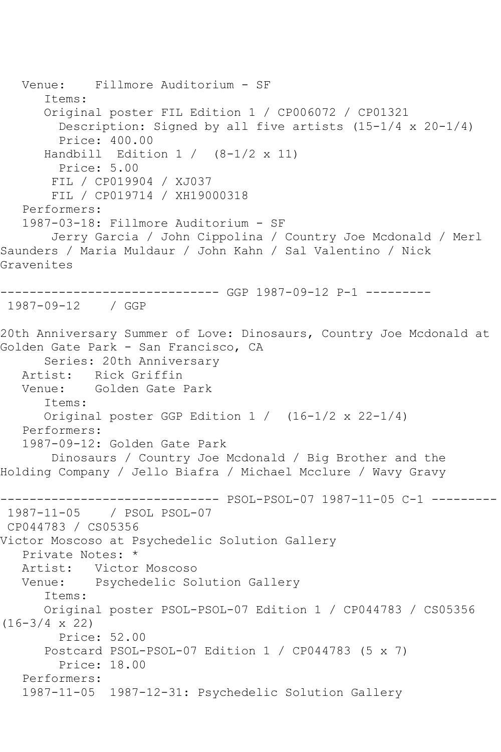```
 Venue: Fillmore Auditorium - SF
       Items:
       Original poster FIL Edition 1 / CP006072 / CP01321
         Description: Signed by all five artists (15-1/4 x 20-1/4)
         Price: 400.00
      Handbill Edition 1 / (8-1/2 \times 11) Price: 5.00
        FIL / CP019904 / XJ037
        FIL / CP019714 / XH19000318
    Performers:
    1987-03-18: Fillmore Auditorium - SF
        Jerry Garcia / John Cippolina / Country Joe Mcdonald / Merl 
Saunders / Maria Muldaur / John Kahn / Sal Valentino / Nick 
Gravenites
----------------------------- GGP 1987-09-12 P-1 ----------
1987-09-12 / GGP 
20th Anniversary Summer of Love: Dinosaurs, Country Joe Mcdonald at 
Golden Gate Park - San Francisco, CA
       Series: 20th Anniversary
   Artist: Rick Griffin
   Venue: Golden Gate Park
       Items:
       Original poster GGP Edition 1 / (16-1/2 x 22-1/4)
   Performers:
    1987-09-12: Golden Gate Park
        Dinosaurs / Country Joe Mcdonald / Big Brother and the 
Holding Company / Jello Biafra / Michael Mcclure / Wavy Gravy
                     ------------------------------ PSOL-PSOL-07 1987-11-05 C-1 ---------
1987-11-05 / PSOL PSOL-07
CP044783 / CS05356
Victor Moscoso at Psychedelic Solution Gallery
   Private Notes: *
   Artist: Victor Moscoso
   Venue: Psychedelic Solution Gallery
       Items:
       Original poster PSOL-PSOL-07 Edition 1 / CP044783 / CS05356 
(16-3/4 \times 22) Price: 52.00
       Postcard PSOL-PSOL-07 Edition 1 / CP044783 (5 x 7)
         Price: 18.00
    Performers:
    1987-11-05 1987-12-31: Psychedelic Solution Gallery
```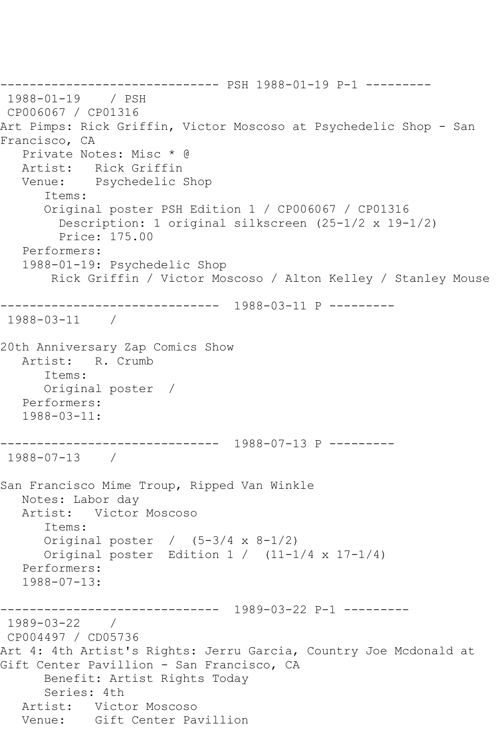------------------------------ PSH 1988-01-19 P-1 --------- 1988-01-19 / PSH CP006067 / CP01316 Art Pimps: Rick Griffin, Victor Moscoso at Psychedelic Shop - San Francisco, CA Private Notes: Misc \* @ Artist: Rick Griffin Venue: Psychedelic Shop Items: Original poster PSH Edition 1 / CP006067 / CP01316 Description: 1 original silkscreen (25-1/2 x 19-1/2) Price: 175.00 Performers: 1988-01-19: Psychedelic Shop Rick Griffin / Victor Moscoso / Alton Kelley / Stanley Mouse ------------------------------ 1988-03-11 P --------- 1988-03-11 / 20th Anniversary Zap Comics Show Artist: R. Crumb Items: Original poster / Performers: 1988-03-11: ------------------------------ 1988-07-13 P --------- 1988-07-13 / San Francisco Mime Troup, Ripped Van Winkle Notes: Labor day Artist: Victor Moscoso Items: Original poster  $/$  (5-3/4 x 8-1/2) Original poster Edition  $1 / (11-1/4 \times 17-1/4)$  Performers: 1988-07-13: ------------------------------ 1989-03-22 P-1 --------- 1989-03-22 / CP004497 / CD05736 Art 4: 4th Artist's Rights: Jerru Garcia, Country Joe Mcdonald at Gift Center Pavillion - San Francisco, CA Benefit: Artist Rights Today Series: 4th Artist: Victor Moscoso Venue: Gift Center Pavillion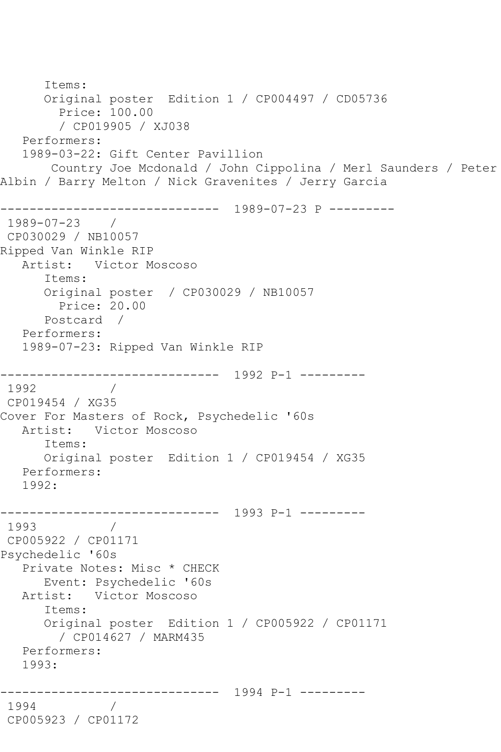```
 Items:
       Original poster Edition 1 / CP004497 / CD05736
         Price: 100.00
         / CP019905 / XJ038
    Performers:
    1989-03-22: Gift Center Pavillion
        Country Joe Mcdonald / John Cippolina / Merl Saunders / Peter 
Albin / Barry Melton / Nick Gravenites / Jerry Garcia
                  ------------------------------ 1989-07-23 P ---------
1989-07-23 / 
CP030029 / NB10057
Ripped Van Winkle RIP
   Artist: Victor Moscoso
       Items:
       Original poster / CP030029 / NB10057
         Price: 20.00
       Postcard / 
    Performers:
    1989-07-23: Ripped Van Winkle RIP
       ------------------------------ 1992 P-1 ---------
1992
CP019454 / XG35
Cover For Masters of Rock, Psychedelic '60s
   Artist: Victor Moscoso
       Items:
       Original poster Edition 1 / CP019454 / XG35
   Performers:
   1992:
------------------------------ 1993 P-1 ---------
1993 / 
CP005922 / CP01171
Psychedelic '60s
    Private Notes: Misc * CHECK
       Event: Psychedelic '60s
   Artist: Victor Moscoso
       Items:
       Original poster Edition 1 / CP005922 / CP01171
         / CP014627 / MARM435
   Performers:
    1993:
             ------------------------------ 1994 P-1 ---------
1994 / 
CP005923 / CP01172
```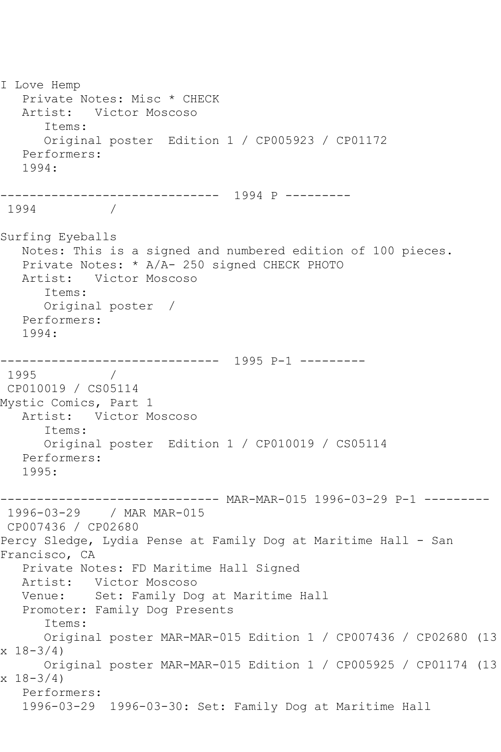I Love Hemp Private Notes: Misc \* CHECK Artist: Victor Moscoso Items: Original poster Edition 1 / CP005923 / CP01172 Performers: 1994: ------------------------------ 1994 P --------- 1994 Surfing Eyeballs Notes: This is a signed and numbered edition of 100 pieces. Private Notes: \* A/A- 250 signed CHECK PHOTO Artist: Victor Moscoso Items: Original poster / Performers: 1994: ------------------------------ 1995 P-1 --------- 1995 / CP010019 / CS05114 Mystic Comics, Part 1 Artist: Victor Moscoso Items: Original poster Edition 1 / CP010019 / CS05114 Performers: 1995: ------------------------------ MAR-MAR-015 1996-03-29 P-1 --------- 1996-03-29 / MAR MAR-015 CP007436 / CP02680 Percy Sledge, Lydia Pense at Family Dog at Maritime Hall - San Francisco, CA Private Notes: FD Maritime Hall Signed Artist: Victor Moscoso Venue: Set: Family Dog at Maritime Hall Promoter: Family Dog Presents Items: Original poster MAR-MAR-015 Edition 1 / CP007436 / CP02680 (13  $x \ 18 - 3/4$  Original poster MAR-MAR-015 Edition 1 / CP005925 / CP01174 (13  $x \ 18 - 3/4$  Performers: 1996-03-29 1996-03-30: Set: Family Dog at Maritime Hall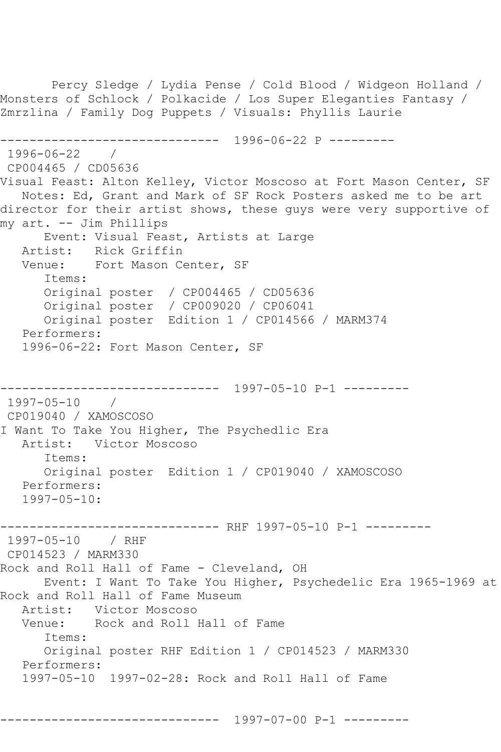Percy Sledge / Lydia Pense / Cold Blood / Widgeon Holland / Monsters of Schlock / Polkacide / Los Super Eleganties Fantasy / Zmrzlina / Family Dog Puppets / Visuals: Phyllis Laurie ------------------------------ 1996-06-22 P --------- 1996-06-22 / CP004465 / CD05636 Visual Feast: Alton Kelley, Victor Moscoso at Fort Mason Center, SF Notes: Ed, Grant and Mark of SF Rock Posters asked me to be art director for their artist shows, these guys were very supportive of my art. -- Jim Phillips Event: Visual Feast, Artists at Large Artist: Rick Griffin Venue: Fort Mason Center, SF Items: Original poster / CP004465 / CD05636 Original poster / CP009020 / CP06041 Original poster Edition 1 / CP014566 / MARM374 Performers: 1996-06-22: Fort Mason Center, SF ------------------------------ 1997-05-10 P-1 --------- 1997-05-10 / CP019040 / XAMOSCOSO I Want To Take You Higher, The Psychedlic Era Artist: Victor Moscoso Items: Original poster Edition 1 / CP019040 / XAMOSCOSO Performers: 1997-05-10: ------------------------------ RHF 1997-05-10 P-1 --------- 1997-05-10 / RHF CP014523 / MARM330 Rock and Roll Hall of Fame - Cleveland, OH Event: I Want To Take You Higher, Psychedelic Era 1965-1969 at Rock and Roll Hall of Fame Museum Artist: Victor Moscoso<br>Venue: Rock and Roll Rock and Roll Hall of Fame Items: Original poster RHF Edition 1 / CP014523 / MARM330 Performers: 1997-05-10 1997-02-28: Rock and Roll Hall of Fame

------------------------------ 1997-07-00 P-1 ---------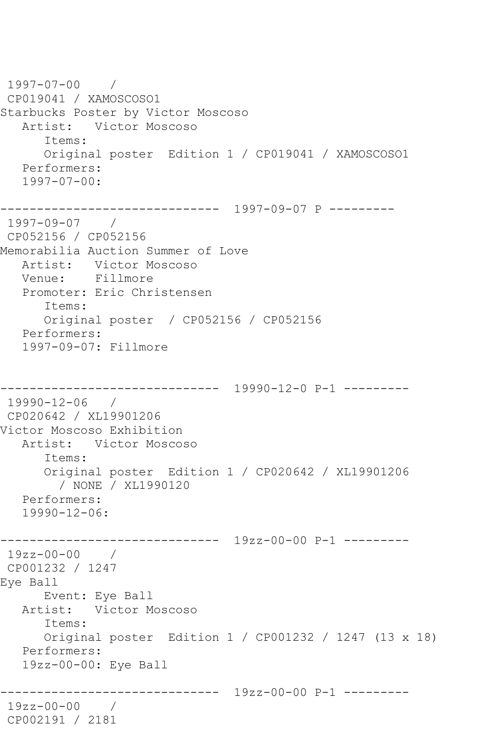1997-07-00 / CP019041 / XAMOSCOSO1 Starbucks Poster by Victor Moscoso Artist: Victor Moscoso Items: Original poster Edition 1 / CP019041 / XAMOSCOSO1 Performers: 1997-07-00: ------------------------------ 1997-09-07 P --------- 1997-09-07 / CP052156 / CP052156 Memorabilia Auction Summer of Love Artist: Victor Moscoso Venue: Fillmore Promoter: Eric Christensen Items: Original poster / CP052156 / CP052156 Performers: 1997-09-07: Fillmore ------------------------------ 19990-12-0 P-1 --------- 19990-12-06 / CP020642 / XL19901206 Victor Moscoso Exhibition Artist: Victor Moscoso Items: Original poster Edition 1 / CP020642 / XL19901206 / NONE / XL1990120 Performers: 19990-12-06: ------------------------------ 19zz-00-00 P-1 --------- 19zz-00-00 / CP001232 / 1247 Eye Ball Event: Eye Ball Artist: Victor Moscoso Items: Original poster Edition 1 / CP001232 / 1247 (13 x 18) Performers: 19zz-00-00: Eye Ball ------------------------------ 19zz-00-00 P-1 --------- 19zz-00-00 / CP002191 / 2181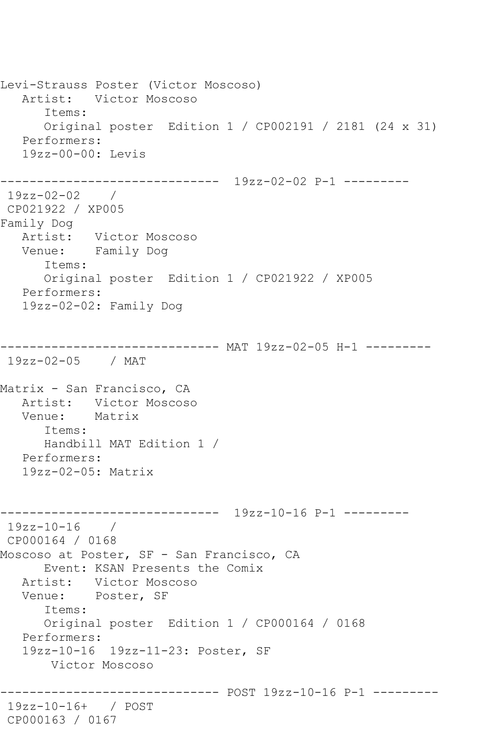Levi-Strauss Poster (Victor Moscoso) Artist: Victor Moscoso Items: Original poster Edition 1 / CP002191 / 2181 (24 x 31) Performers: 19zz-00-00: Levis ------------------------------ 19zz-02-02 P-1 --------- 19zz-02-02 / CP021922 / XP005 Family Dog Artist: Victor Moscoso Venue: Family Dog Items: Original poster Edition 1 / CP021922 / XP005 Performers: 19zz-02-02: Family Dog ------------------------------ MAT 19zz-02-05 H-1 --------- 19zz-02-05 / MAT Matrix - San Francisco, CA Artist: Victor Moscoso Venue: Matrix Items: Handbill MAT Edition 1 / Performers: 19zz-02-05: Matrix ------------------------------ 19zz-10-16 P-1 --------- 19zz-10-16 / CP000164 / 0168 Moscoso at Poster, SF - San Francisco, CA Event: KSAN Presents the Comix Artist: Victor Moscoso Venue: Poster, SF Items: Original poster Edition 1 / CP000164 / 0168 Performers: 19zz-10-16 19zz-11-23: Poster, SF Victor Moscoso ------------------------------ POST 19zz-10-16 P-1 --------- 19zz-10-16+ / POST CP000163 / 0167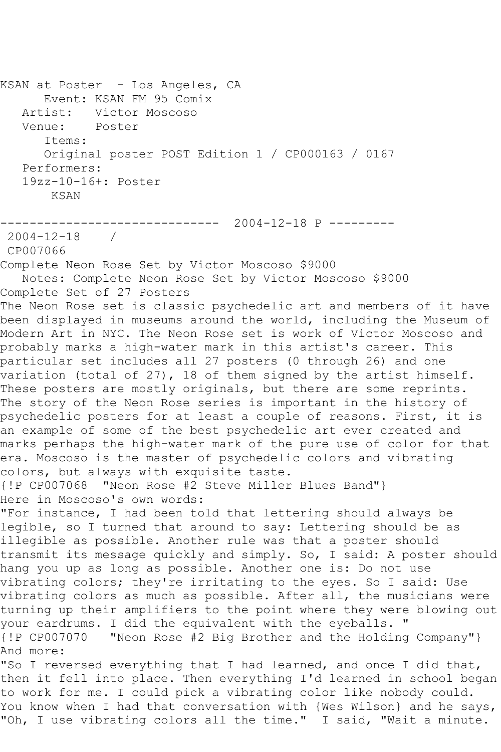KSAN at Poster - Los Angeles, CA Event: KSAN FM 95 Comix<br>Artist: Victor Moscoso Victor Moscoso Venue: Poster Items: Original poster POST Edition 1 / CP000163 / 0167 Performers: 19zz-10-16+: Poster KSAN ------------------------------ 2004-12-18 P ---------  $2004 - 12 - 18$ CP007066 Complete Neon Rose Set by Victor Moscoso \$9000 Notes: Complete Neon Rose Set by Victor Moscoso \$9000 Complete Set of 27 Posters The Neon Rose set is classic psychedelic art and members of it have been displayed in museums around the world, including the Museum of Modern Art in NYC. The Neon Rose set is work of Victor Moscoso and probably marks a high-water mark in this artist's career. This particular set includes all 27 posters (0 through 26) and one variation (total of 27), 18 of them signed by the artist himself. These posters are mostly originals, but there are some reprints. The story of the Neon Rose series is important in the history of psychedelic posters for at least a couple of reasons. First, it is an example of some of the best psychedelic art ever created and marks perhaps the high-water mark of the pure use of color for that era. Moscoso is the master of psychedelic colors and vibrating colors, but always with exquisite taste. {!P CP007068 "Neon Rose #2 Steve Miller Blues Band"} Here in Moscoso's own words: "For instance, I had been told that lettering should always be legible, so I turned that around to say: Lettering should be as illegible as possible. Another rule was that a poster should transmit its message quickly and simply. So, I said: A poster should hang you up as long as possible. Another one is: Do not use vibrating colors; they're irritating to the eyes. So I said: Use vibrating colors as much as possible. After all, the musicians were turning up their amplifiers to the point where they were blowing out your eardrums. I did the equivalent with the eyeballs. " {!P CP007070 "Neon Rose #2 Big Brother and the Holding Company"} And more: "So I reversed everything that I had learned, and once I did that, then it fell into place. Then everything I'd learned in school began to work for me. I could pick a vibrating color like nobody could. You know when I had that conversation with {Wes Wilson} and he says,

"Oh, I use vibrating colors all the time." I said, "Wait a minute.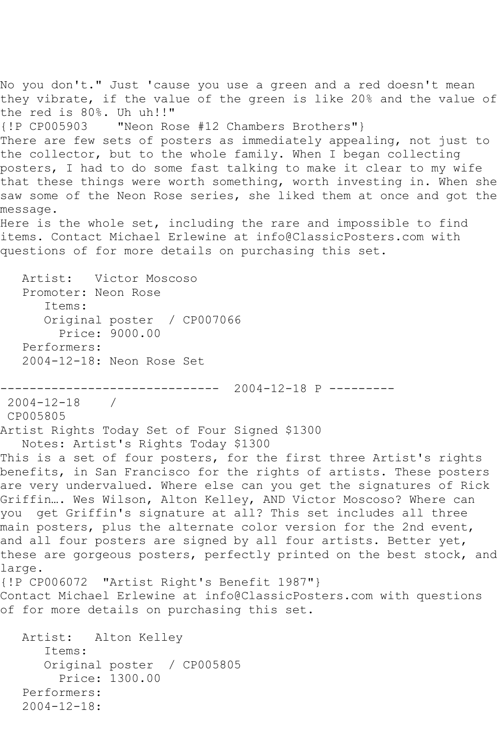No you don't." Just 'cause you use a green and a red doesn't mean they vibrate, if the value of the green is like 20% and the value of the red is 80%. Uh uh!!" "Neon Rose #12 Chambers Brothers"} There are few sets of posters as immediately appealing, not just to the collector, but to the whole family. When I began collecting posters, I had to do some fast talking to make it clear to my wife that these things were worth something, worth investing in. When she saw some of the Neon Rose series, she liked them at once and got the message. Here is the whole set, including the rare and impossible to find items. Contact Michael Erlewine at info@ClassicPosters.com with questions of for more details on purchasing this set. Artist: Victor Moscoso Promoter: Neon Rose Items: Original poster / CP007066 Price: 9000.00 Performers: 2004-12-18: Neon Rose Set ------------------------------ 2004-12-18 P --------- 2004-12-18 / CP005805 Artist Rights Today Set of Four Signed \$1300 Notes: Artist's Rights Today \$1300 This is a set of four posters, for the first three Artist's rights benefits, in San Francisco for the rights of artists. These posters are very undervalued. Where else can you get the signatures of Rick Griffin…. Wes Wilson, Alton Kelley, AND Victor Moscoso? Where can you get Griffin's signature at all? This set includes all three main posters, plus the alternate color version for the 2nd event, and all four posters are signed by all four artists. Better yet, these are gorgeous posters, perfectly printed on the best stock, and large. {!P CP006072 "Artist Right's Benefit 1987"} Contact Michael Erlewine at info@ClassicPosters.com with questions of for more details on purchasing this set. Artist: Alton Kelley Items: Original poster / CP005805 Price: 1300.00 Performers: 2004-12-18: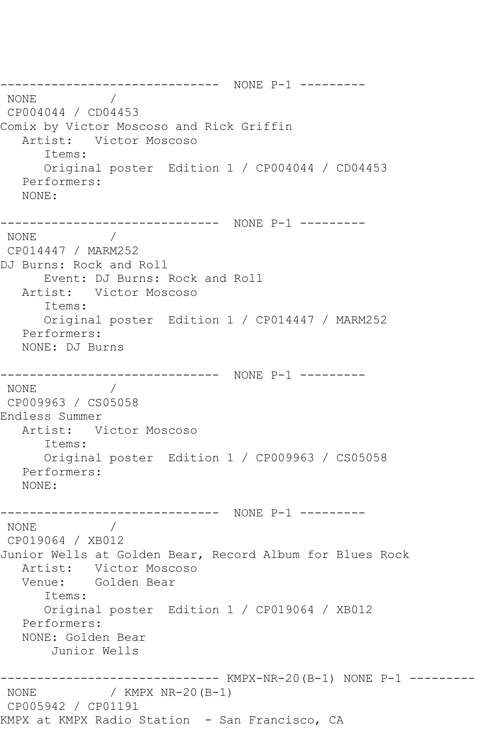------------------------------ NONE P-1 --------- NONE / CP004044 / CD04453 Comix by Victor Moscoso and Rick Griffin Artist: Victor Moscoso Items: Original poster Edition 1 / CP004044 / CD04453 Performers: NONE: ------------------------------ NONE P-1 --------- NONE / CP014447 / MARM252 DJ Burns: Rock and Roll Event: DJ Burns: Rock and Roll Artist: Victor Moscoso Items: Original poster Edition 1 / CP014447 / MARM252 Performers: NONE: DJ Burns ------------------------------ NONE P-1 --------- NONE / CP009963 / CS05058 Endless Summer Artist: Victor Moscoso Items: Original poster Edition 1 / CP009963 / CS05058 Performers: NONE: ------------------------------ NONE P-1 --------- NONE / CP019064 / XB012 Junior Wells at Golden Bear, Record Album for Blues Rock Artist: Victor Moscoso Venue: Golden Bear Items: Original poster Edition 1 / CP019064 / XB012 Performers: NONE: Golden Bear Junior Wells ------------------------------ KMPX-NR-20(B-1) NONE P-1 --------- / KMPX NR-20(B-1) CP005942 / CP01191 KMPX at KMPX Radio Station - San Francisco, CA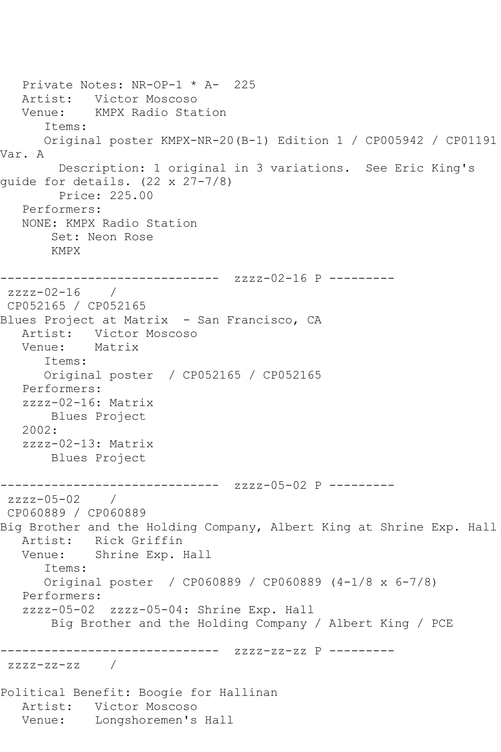```
 Private Notes: NR-OP-1 * A- 225
   Artist: Victor Moscoso
   Venue: KMPX Radio Station
       Items:
      Original poster KMPX-NR-20(B-1) Edition 1 / CP005942 / CP01191 
Var. A
         Description: 1 original in 3 variations. See Eric King's 
guide for details. (22 x 27-7/8)
         Price: 225.00
   Performers:
   NONE: KMPX Radio Station
        Set: Neon Rose
        KMPX
------------------------------ zzzz-02-16 P ---------
zzzz-02-16 / 
CP052165 / CP052165
Blues Project at Matrix - San Francisco, CA
  Artist: Victor Moscoso<br>Venue: Matrix
  Venue:
       Items:
      Original poster / CP052165 / CP052165
   Performers:
   zzzz-02-16: Matrix
       Blues Project
   2002:
   zzzz-02-13: Matrix
       Blues Project
------------------------------ zzzz-05-02 P ---------
zzzz-05-02 / 
CP060889 / CP060889
Big Brother and the Holding Company, Albert King at Shrine Exp. Hall
   Artist: Rick Griffin
   Venue: Shrine Exp. Hall
      Items:
      Original poster / CP060889 / CP060889 (4-1/8 x 6-7/8)
   Performers:
   zzzz-05-02 zzzz-05-04: Shrine Exp. Hall
        Big Brother and the Holding Company / Albert King / PCE
------------------------------ zzzz-zz-zz P ---------
zzzz-zz-zz / 
Political Benefit: Boogie for Hallinan
   Artist: Victor Moscoso
   Venue: Longshoremen's Hall
```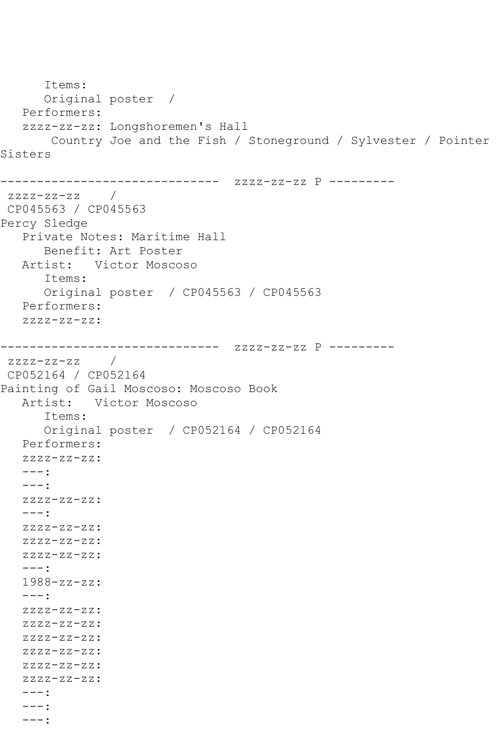```
 Items:
       Original poster / 
    Performers:
    zzzz-zz-zz: Longshoremen's Hall
        Country Joe and the Fish / Stoneground / Sylvester / Pointer 
Sisters
------------------------------ zzzz-zz-zz P ---------
zzzz-zz-zz / 
CP045563 / CP045563
Percy Sledge
   Private Notes: Maritime Hall
       Benefit: Art Poster
   Artist: Victor Moscoso
       Items:
       Original poster / CP045563 / CP045563
   Performers:
    zzzz-zz-zz:
------------------------------ zzzz-zz-zz P ---------
zzzz-zz-zz /
CP052164 / CP052164
Painting of Gail Moscoso: Moscoso Book
   Artist: Victor Moscoso
       Items:
       Original poster / CP052164 / CP052164
    Performers:
    zzzz-zz-zz:
    ---:
    ---:
    zzzz-zz-zz:
   ---:ZZZZ-ZZ-ZZ:
    zzzz-zz-zz:
    zzzz-zz-zz:
    ---:
    1988-zz-zz:
    ---:
    zzzz-zz-zz:
    zzzz-zz-zz:
    zzzz-zz-zz:
    zzzz-zz-zz:
    zzzz-zz-zz:
    zzzz-zz-zz:
   ---: ---:
    ---:
```